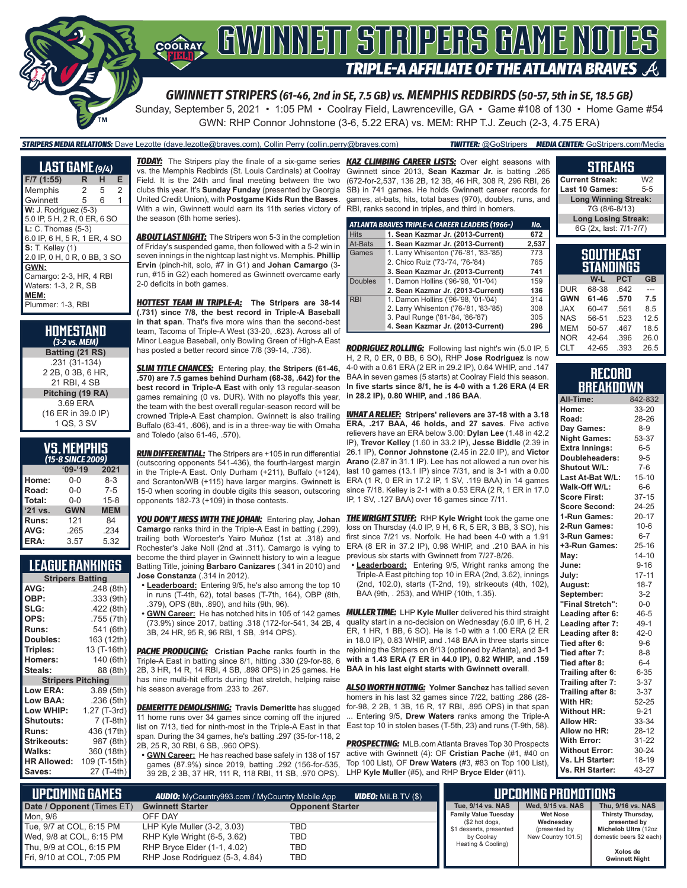

Sunday, September 5, 2021 • 1:05 PM • Coolray Field, Lawrenceville, GA • Game #108 of 130 • Home Game #54 GWN: RHP Connor Johnstone (3-6, 5.22 ERA) vs. MEM: RHP T.J. Zeuch (2-3, 4.75 ERA)

#### *STRIPERS MEDIA RELATIONS:* Dave Lezotte (dave.lezotte@braves.com), Collin Perry (collin.perry@braves.com) *TWITTER:* @GoStripers *MEDIA CENTER:* GoStripers.com/Media

| <b>LAST GAME</b> (9/4)       |                |   |   |
|------------------------------|----------------|---|---|
| F/7 (1:55)                   | R.             | н | E |
| Memphis                      | $\overline{c}$ | 5 | 2 |
| Gwinnett                     | 5              | 6 | 1 |
| W: J. Rodriguez (5-3)        |                |   |   |
| 5.0 IP, 5 H, 2 R, 0 ER, 6 SO |                |   |   |
| $L: C.$ Thomas $(5-3)$       |                |   |   |
| 6.0 IP, 6 H, 5 R, 1 ER, 4 SO |                |   |   |
| <b>S:</b> T. Kelley (1)      |                |   |   |
| 2.0 IP, 0 H, 0 R, 0 BB, 3 SO |                |   |   |
| GWN:                         |                |   |   |
| Camargo: 2-3, HR, 4 RBI      |                |   |   |
| Waters: 1-3, 2 R, SB         |                |   |   |
| MEM:                         |                |   |   |
| Plummer: 1-3, RBI            |                |   |   |

| HOMESTAND<br>(3-2 vs. MEM)                         |
|----------------------------------------------------|
| Batting (21 RS)                                    |
| .231 (31-134)<br>2 2B, 0 3B, 6 HR,<br>21 RBI, 4 SB |
| Pitching (19 RA)                                   |
| 3.69 ERA                                           |
| (16 ER in 39.0 IP)<br>1 QS, 3 SV                   |

## **VS. MEMPHIS**

|         | (15-8 SINCE 2009) |            |
|---------|-------------------|------------|
|         | $09 - 19$         | 2021       |
| Home:   | $0 - 0$           | $8 - 3$    |
| Road:   | $0 - 0$           | $7 - 5$    |
| Total:  | $0 - 0$           | $15 - 8$   |
| '21 vs. | <b>GWN</b>        | <b>MEM</b> |
| Runs:   | 121               | 84         |
| AVG:    | .265              | .234       |
| ERA:    | 3.57              | 5.32       |

## **LEAGUE RANKINGS**

| <b>Stripers Batting</b>  |              |  |  |
|--------------------------|--------------|--|--|
| AVG:                     | .248 (8th)   |  |  |
| OBP:                     | .333 (9th)   |  |  |
| SLG:                     | .422 (8th)   |  |  |
| OPS:                     | .755 (7th)   |  |  |
| <b>Runs:</b>             | 541 (6th)    |  |  |
| Doubles:                 | 163 (12th)   |  |  |
| Triples:                 | 13 (T-16th)  |  |  |
| <b>Homers:</b>           | 140 (6th)    |  |  |
| Steals:                  | 88 (8th)     |  |  |
| <b>Stripers Pitching</b> |              |  |  |
| <b>Low ERA:</b>          | 3.89 (5th)   |  |  |
| Low BAA:                 | .236 (5th)   |  |  |
| Low WHIP:                | 1.27 (T-3rd) |  |  |
| <b>Shutouts:</b>         | 7 (T-8th)    |  |  |
| <b>Runs:</b>             | 436 (17th)   |  |  |
| <b>Strikeouts:</b>       | 987 (8th)    |  |  |
| Walks:                   | 360 (18th)   |  |  |
| <b>HR Allowed:</b>       | 109 (T-15th) |  |  |
| Saves:                   | 27 (T-4th)   |  |  |
|                          |              |  |  |

vs. the Memphis Redbirds (St. Louis Cardinals) at Coolray Field. It is the 24th and final meeting between the two clubs this year. It's **Sunday Funday** (presented by Georgia United Credit Union), with **Postgame Kids Run the Bases**. With a win, Gwinnett would earn its 11th series victory of the season (6th home series).

*ABOUT LAST NIGHT:* The Stripers won 5-3 in the completion of Friday's suspended game, then followed with a 5-2 win in seven innings in the nightcap last night vs. Memphis. **Phillip Ervin** (pinch-hit, solo, #7 in G1) and **Johan Camargo** (3 run, #15 in G2) each homered as Gwinnett overcame early 2-0 deficits in both games.

*HOTTEST TEAM IN TRIPLE-A:* **The Stripers are 38-14 (.731) since 7/8, the best record in Triple-A Baseball in that span**. That's five more wins than the second-best team, Tacoma of Triple-A West (33-20, .623). Across all of Minor League Baseball, only Bowling Green of High-A East has posted a better record since 7/8 (39-14, .736).

*SLIM TITLE CHANCES:* Entering play, **the Stripers (61-46, .570) are 7.5 games behind Durham (68-38, .642) for the best record in Triple-A East** with only 13 regular-season games remaining (0 vs. DUR). With no playoffs this year, the team with the best overall regular-season record will be crowned Triple-A East champion. Gwinnett is also trailing Buffalo (63-41, .606), and is in a three-way tie with Omaha and Toledo (also 61-46, .570).

*RUN DIFFERENTIAL:* The Stripers are +105 in run differential (outscoring opponents 541-436), the fourth-largest margin in the Triple-A East. Only Durham (+211), Buffalo (+124), and Scranton/WB (+115) have larger margins. Gwinnett is 15-0 when scoring in double digits this season, outscoring opponents 182-73 (+109) in those contests.

**Camargo** ranks third in the Triple-A East in batting (.299), trailing both Worcester's Yairo Muñoz (1st at .318) and Rochester's Jake Noll (2nd at .311). Camargo is vying to become the third player in Gwinnett history to win a league Batting Title, joining **Barbaro Canizares** (.341 in 2010) and **Jose Constanza** (.314 in 2012).

- **• Leaderboard:** Entering 9/5, he's also among the top 10 in runs (T-4th, 62), total bases (T-7th, 164), OBP (8th, .379), OPS (8th, .890), and hits (9th, 96).
- (73.9%) since 2017, batting .318 (172-for-541, 34 2B, 4 3B, 24 HR, 95 R, 96 RBI, 1 SB, .914 OPS).

**PACHE PRODUCING:** Cristian Pache ranks fourth in the Triple-A East in batting since 8/1, hitting .330 (29-for-88, 6 2B, 3 HR, 14 R, 14 RBI, 4 SB, .898 OPS) in 25 games. He has nine multi-hit efforts during that stretch, helping raise his season average from .233 to .267.

*DEMERITTE DEMOLISHING:* **Travis Demeritte** has slugged 11 home runs over 34 games since coming off the injured list on 7/13, tied for ninth-most in the Triple-A East in that East top 10 in stolen bases (T-5th, 23) and runs (T-9th, 58). span. During the 34 games, he's batting .297 (35-for-118, 2 2B, 25 R, 30 RBI, 6 SB, .960 OPS).

**• GWN Career:** He has reached base safely in 138 of 157 games (87.9%) since 2019, batting .292 (156-for-535, 39 2B, 2 3B, 37 HR, 111 R, 118 RBI, 11 SB, .970 OPS).

*TODAY:* The Stripers play the finale of a six-game series *KAZ CLIMBING CAREER LISTS:* Over eight seasons with Gwinnett since 2013, **Sean Kazmar Jr.** is batting .265 (672-for-2,537, 136 2B, 12 3B, 46 HR, 308 R, 296 RBI, 26 SB) in 741 games. He holds Gwinnett career records for games, at-bats, hits, total bases (970), doubles, runs, and RBI, ranks second in triples, and third in homers.

|                | ATLANTA BRAVES TRIPLE-A CAREER LEADERS (1966-) | No.   |
|----------------|------------------------------------------------|-------|
| <b>Hits</b>    | 1. Sean Kazmar Jr. (2013-Current)              | 672   |
| At-Bats        | 1. Sean Kazmar Jr. (2013-Current)              | 2,537 |
| Games          | 1. Larry Whisenton ('76-'81, '83-'85)          | 773   |
|                | 2. Chico Ruiz ('73-'74, '76-'84)               | 765   |
|                | 3. Sean Kazmar Jr. (2013-Current)              | 741   |
| <b>Doubles</b> | 1. Damon Hollins ('96-'98, '01-'04)            | 159   |
|                | 2. Sean Kazmar Jr. (2013-Current)              | 136   |
| <b>RBI</b>     | 1. Damon Hollins ('96-'98, '01-'04)            | 314   |
|                | 2. Larry Whisenton ('76-'81, '83-'85)          | 308   |
|                | 3. Paul Runge ('81-'84, '86-'87)               | 305   |
|                | 4. Sean Kazmar Jr. (2013-Current)              | 296   |

*RODRIGUEZ ROLLING:* Following last night's win (5.0 IP, 5 H, 2 R, 0 ER, 0 BB, 6 SO), RHP **Jose Rodriguez** is now 4-0 with a 0.61 ERA (2 ER in 29.2 IP), 0.64 WHIP, and .147 BAA in seven games (5 starts) at Coolray Field this season. **In five starts since 8/1, he is 4-0 with a 1.26 ERA (4 ER in 28.2 IP), 0.80 WHIP, and .186 BAA**.

*WHAT A RELIEF:* **Stripers' relievers are 37-18 with a 3.18 ERA, .217 BAA, 46 holds, and 27 saves**. Five active relievers have an ERA below 3.00: **Dylan Lee** (1.48 in 42.2 IP), **Trevor Kelley** (1.60 in 33.2 IP), **Jesse Biddle** (2.39 in 26.1 IP), **Connor Johnstone** (2.45 in 22.0 IP), and **Victor Arano** (2.87 in 31.1 IP). Lee has not allowed a run over his last 10 games (13.1 IP) since 7/31, and is 3-1 with a 0.00 ERA (1 R, 0 ER in 17.2 IP, 1 SV, .119 BAA) in 14 games since 7/18. Kelley is 2-1 with a 0.53 ERA (2 R, 1 ER in 17.0 IP, 1 SV, .127 BAA) over 16 games since 7/11.

*YOU DON'T MESS WITH THE JOHAN:* Entering play, **Johan**  *THE WRIGHT STUFF:* RHP **Kyle Wright** took the game one loss on Thursday (4.0 IP, 9 H, 6 R, 5 ER, 3 BB, 3 SO), his first since 7/21 vs. Norfolk. He had been 4-0 with a 1.91 ERA (8 ER in 37.2 IP), 0.98 WHIP, and .210 BAA in his previous six starts with Gwinnett from 7/27-8/26.

**• Leaderboard:** Entering 9/5, Wright ranks among the Triple-A East pitching top 10 in ERA (2nd, 3.62), innings (2nd, 102.0), starts (T-2nd, 19), strikeouts (4th, 102), BAA (9th, . 253), and WHIP (10th, 1.35).

**• GWN Career:** He has notched hits in 105 of 142 games *MULLER TIME:* LHP **Kyle Muller** delivered his third straight quality start in a no-decision on Wednesday (6.0 IP, 6 H, 2 ER, 1 HR, 1 BB, 6 SO). He is 1-0 with a 1.00 ERA (2 ER in 18.0 IP), 0.83 WHIP, and .148 BAA in three starts since rejoining the Stripers on 8/13 (optioned by Atlanta), and **3-1 with a 1.43 ERA (7 ER in 44.0 IP), 0.82 WHIP, and .159 BAA in his last eight starts with Gwinnett overall**.

> *ALSO WORTH NOTING:* **Yolmer Sanchez** has tallied seven homers in his last 32 games since 7/22, batting .286 (28 for-98, 2 2B, 1 3B, 16 R, 17 RBI, .895 OPS) in that span Entering 9/5, Drew Waters ranks among the Triple-A

> *PROSPECTING:* MLB.com Atlanta Braves Top 30 Prospects active with Gwinnett (4): OF **Cristian Pache** (#1, #40 on Top 100 List), OF **Drew Waters** (#3, #83 on Top 100 List), LHP **Kyle Muller** (#5), and RHP **Bryce Elder** (#11).

#### **Current Streak:** W2<br>**Last 10 Games:** 5-5 **Last 10 Games: Long Winning Streak:** 7G (8/6-8/13) **Long Losing Streak:** 6G (2x, last: 7/1-7/7)

**STREAKS**

|            | SOUTHEAST<br>STANDINGS |            |           |
|------------|------------------------|------------|-----------|
|            | W-L                    | <b>PCT</b> | <b>GB</b> |
| <b>DUR</b> | 68-38                  | .642       |           |
| <b>GWN</b> | 61-46                  | .570       | 7.5       |
| <b>XAL</b> | 60-47                  | .561       | 8.5       |
| <b>NAS</b> | 56-51                  | .523       | 12.5      |
| <b>MEM</b> | 50-57                  | .467       | 18.5      |
| <b>NOR</b> | 42-64                  | .396       | 26.0      |
| <b>CLT</b> | 42-65                  | .393       | 26.5      |

#### **RECORD BREAKDOWN**

| All-Time:             | 842-832   |
|-----------------------|-----------|
| Home:                 | 33-20     |
| Road:                 | 28-26     |
| Day Games:            | $8 - 9$   |
| <b>Night Games:</b>   | 53-37     |
| <b>Extra Innings:</b> | $6 - 5$   |
| Doubleheaders:        | $9 - 5$   |
| Shutout W/L:          | $7-6$     |
| Last At-Bat W/L:      | $15 - 10$ |
| Walk-Off W/L:         | $6-6$     |
| <b>Score First:</b>   | $37 - 15$ |
| <b>Score Second:</b>  | 24-25     |
| 1-Run Games:          | $20 - 17$ |
| 2-Run Games:          | $10 - 6$  |
| 3-Run Games:          | $6 - 7$   |
| +3-Run Games:         | 25-16     |
| May:                  | $14 - 10$ |
| June:                 | $9 - 16$  |
| July:                 | $17 - 11$ |
| August:               | $18 - 7$  |
| September:            | $3-2$     |
| "Final Stretch":      | $0-0$     |
| Leading after 6:      | 46-5      |
| Leading after 7:      | $49-1$    |
| Leading after 8:      | $42 - 0$  |
| Tied after 6:         | $9 - 6$   |
| Tied after 7:         | $8 - 8$   |
| Tied after 8:         | $6 - 4$   |
| Trailing after 6:     | $6 - 35$  |
| Trailing after 7:     | $3 - 37$  |
| Trailing after 8:     | $3 - 37$  |
| With HR:              | 52-25     |
| <b>Without HR:</b>    | $9 - 21$  |
| <b>Allow HR:</b>      | 33-34     |
| Allow no HR:          | 28-12     |
| <b>With Error:</b>    | 31-22     |
| <b>Without Error:</b> | 30-24     |
| Vs. LH Starter:       | 18-19     |
| Vs. RH Starter:       | 43-27     |

| L UPCOMING GAMES I<br><b>VIDEO:</b> MiLB.TV (\$)<br><b>AUDIO:</b> MyCountry993.com / MyCountry Mobile App |                                |                         |                                           | UPCOMING PROMOTIONS '        |                                   |
|-----------------------------------------------------------------------------------------------------------|--------------------------------|-------------------------|-------------------------------------------|------------------------------|-----------------------------------|
| Date / Opponent (Times ET)                                                                                | <b>Gwinnett Starter</b>        | <b>Opponent Starter</b> | Tue. 9/14 vs. NAS                         | Wed. 9/15 vs. NAS            | Thu, 9/16 vs. NAS                 |
| Mon. 9/6                                                                                                  | OFF DAY                        |                         | <b>Family Value Tuesday</b>               | <b>Wet Nose</b><br>Wednesdav | Thirsty Thursday,<br>presented by |
| Tue, 9/7 at COL, 6:15 PM                                                                                  | LHP Kyle Muller (3-2, 3.03)    | TBD                     | (\$2 hot dogs,<br>\$1 desserts, presented | (presented by                | Michelob Ultra (12oz              |
| Wed, 9/8 at COL, 6:15 PM                                                                                  | RHP Kyle Wright (6-5, 3.62)    | TBD                     | by Coolrav                                | New Country 101.5)           | domestic beers \$2 each)          |
| Thu, 9/9 at COL, 6:15 PM                                                                                  | RHP Bryce Elder (1-1, 4.02)    | TBD                     | Heating & Cooling)                        |                              | Xolos de                          |
| Fri, 9/10 at COL, 7:05 PM                                                                                 | RHP Jose Rodriguez (5-3, 4.84) | TBD                     |                                           |                              | <b>Gwinnett Night</b>             |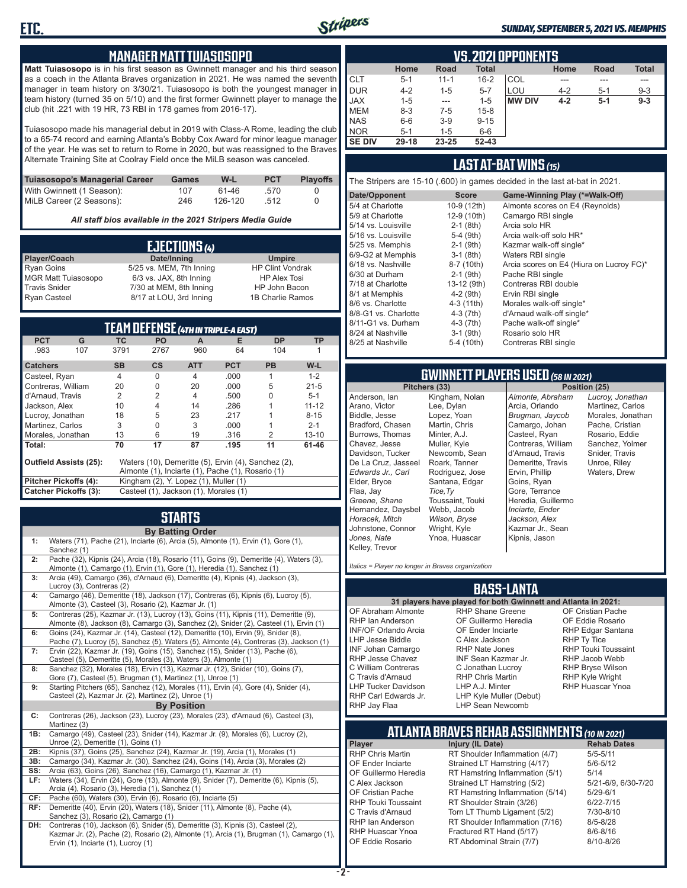

#### *SUNDAY, SEPTEMBER 5, 2021 VS. MEMPHIS*

#### **MANAGER MATT TUIASOSOPO**

**Matt Tuiasosopo** is in his first season as Gwinnett manager and his third season as a coach in the Atlanta Braves organization in 2021. He was named the seventh manager in team history on 3/30/21. Tuiasosopo is both the youngest manager in team history (turned 35 on 5/10) and the first former Gwinnett player to manage the club (hit .221 with 19 HR, 73 RBI in 178 games from 2016-17).

Tuiasosopo made his managerial debut in 2019 with Class-A Rome, leading the club to a 65-74 record and earning Atlanta's Bobby Cox Award for minor league manager of the year. He was set to return to Rome in 2020, but was reassigned to the Braves Alternate Training Site at Coolray Field once the MiLB season was canceled.

| Tuiasosopo's Managerial Career | Games | W-L     | <b>PCT</b> | <b>Plavoffs</b> |
|--------------------------------|-------|---------|------------|-----------------|
| With Gwinnett (1 Season):      | 107   | 61-46   | .570       |                 |
| MiLB Career (2 Seasons):       | 246   | 126-120 | .512       |                 |

*All staff bios available in the 2021 Stripers Media Guide*

|                            | EJECTIONS (4)            |                         |
|----------------------------|--------------------------|-------------------------|
| Player/Coach               | Date/Inning              | <b>Umpire</b>           |
| <b>Ryan Goins</b>          | 5/25 vs. MEM, 7th Inning | <b>HP Clint Vondrak</b> |
| <b>MGR Matt Tuiasosopo</b> | 6/3 vs. JAX, 8th Inning  | <b>HP Alex Tosi</b>     |
| <b>Travis Snider</b>       | 7/30 at MEM, 8th Inning  | HP John Bacon           |
| <b>Ryan Casteel</b>        | 8/17 at LOU, 3rd Inning  | 1B Charlie Ramos        |

|                               |     |                |                                       |            | TEAM DEFENSE (4TH IN TRIPLE-A EAST)               |                                                     |           |
|-------------------------------|-----|----------------|---------------------------------------|------------|---------------------------------------------------|-----------------------------------------------------|-----------|
| <b>PCT</b>                    | G   | ТC             | <b>PO</b>                             | A          | Е                                                 | <b>DP</b>                                           | TP        |
| .983                          | 107 | 3791           | 2767                                  | 960        | 64                                                | 104                                                 |           |
| <b>Catchers</b>               |     | <b>SB</b>      | <b>CS</b>                             | <b>ATT</b> | <b>PCT</b>                                        | <b>PB</b>                                           | $W-L$     |
| Casteel, Ryan                 |     | $\overline{4}$ | 0                                     | 4          | .000                                              | 1                                                   | $1 - 2$   |
| Contreras, William            |     | 20             | 0                                     | 20         | .000                                              | 5                                                   | $21 - 5$  |
| d'Arnaud. Travis              |     | 2              | $\overline{2}$                        | 4          | .500                                              | U                                                   | $5 - 1$   |
| Jackson, Alex                 |     | 10             | 4                                     | 14         | .286                                              |                                                     | $11 - 12$ |
| Lucroy, Jonathan              |     | 18             | 5                                     | 23         | .217                                              |                                                     | $8 - 15$  |
| Martinez, Carlos              |     | 3              | $\Omega$                              | 3          | .000                                              |                                                     | $2 - 1$   |
| Morales, Jonathan             |     | 13             | 6                                     | 19         | .316                                              | 2                                                   | $13 - 10$ |
| Total:                        |     | 70             | 17                                    | 87         | .195                                              | 11                                                  | 61-46     |
| <b>Outfield Assists (25):</b> |     |                |                                       |            |                                                   | Waters (10), Demeritte (5), Ervin (4), Sanchez (2), |           |
|                               |     |                |                                       |            | Almonte (1), Inciarte (1), Pache (1), Rosario (1) |                                                     |           |
| Pitcher Pickoffs (4):         |     |                | Kingham (2), Y. Lopez (1), Muller (1) |            |                                                   |                                                     |           |
| <b>Catcher Pickoffs (3):</b>  |     |                | Casteel (1), Jackson (1), Morales (1) |            |                                                   |                                                     |           |

# **STARTS**

|     | <b>By Batting Order</b>                                                                                                                                                                                              |
|-----|----------------------------------------------------------------------------------------------------------------------------------------------------------------------------------------------------------------------|
| 1:  | Waters (71), Pache (21), Inciarte (6), Arcia (5), Almonte (1), Ervin (1), Gore (1),<br>Sanchez (1)                                                                                                                   |
| 2:  | Pache (32), Kipnis (24), Arcia (18), Rosario (11), Goins (9), Demeritte (4), Waters (3),<br>Almonte (1), Camargo (1), Ervin (1), Gore (1), Heredia (1), Sanchez (1)                                                  |
| 3:  | Arcia (49), Camargo (36), d'Arnaud (6), Demeritte (4), Kipnis (4), Jackson (3),<br>Lucroy (3), Contreras (2)                                                                                                         |
| 4:  | Camargo (46), Demeritte (18), Jackson (17), Contreras (6), Kipnis (6), Lucroy (5),<br>Almonte (3), Casteel (3), Rosario (2), Kazmar Jr. (1)                                                                          |
| 5:  | Contreras (25), Kazmar Jr. (13), Lucroy (13), Goins (11), Kipnis (11), Demeritte (9),<br>Almonte (8), Jackson (8), Camargo (3), Sanchez (2), Snider (2), Casteel (1), Ervin (1)                                      |
| 6:  | Goins (24), Kazmar Jr. (14), Casteel (12), Demeritte (10), Ervin (9), Snider (8),<br>Pache (7), Lucroy (5), Sanchez (5), Waters (5), Almonte (4), Contreras (3), Jackson (1)                                         |
| 7:  | Ervin (22), Kazmar Jr. (19), Goins (15), Sanchez (15), Snider (13), Pache (6),<br>Casteel (5), Demeritte (5), Morales (3), Waters (3), Almonte (1)                                                                   |
| 8:  | Sanchez (32), Morales (18), Ervin (13), Kazmar Jr. (12), Snider (10), Goins (7),<br>Gore (7), Casteel (5), Brugman (1), Martinez (1), Unroe (1)                                                                      |
| 9:  | Starting Pitchers (65), Sanchez (12), Morales (11), Ervin (4), Gore (4), Snider (4),<br>Casteel (2), Kazmar Jr. (2), Martinez (2), Unroe (1)                                                                         |
|     | <b>By Position</b>                                                                                                                                                                                                   |
| C:  | Contreras (26), Jackson (23), Lucroy (23), Morales (23), d'Arnaud (6), Casteel (3),<br>Martinez (3)                                                                                                                  |
| 1B: | Camargo (49), Casteel (23), Snider (14), Kazmar Jr. (9), Morales (6), Lucroy (2),<br>Unroe (2), Demeritte (1), Goins (1)                                                                                             |
| 2B: | Kipnis (37), Goins (25), Sanchez (24), Kazmar Jr. (19), Arcia (1), Morales (1)                                                                                                                                       |
| 3B: | Camargo (34), Kazmar Jr. (30), Sanchez (24), Goins (14), Arcia (3), Morales (2)                                                                                                                                      |
| SS: | Arcia (63), Goins (26), Sanchez (16), Camargo (1), Kazmar Jr. (1)                                                                                                                                                    |
| LF: | Waters (34), Ervin (24), Gore (13), Almonte (9), Snider (7), Demeritte (6), Kipnis (5),<br>Arcia (4), Rosario (3), Heredia (1), Sanchez (1)                                                                          |
| CF: | Pache (60), Waters (30), Ervin (6), Rosario (6), Inciarte (5)                                                                                                                                                        |
| RF: | Demeritte (40), Ervin (20), Waters (18), Snider (11), Almonte (8), Pache (4),<br>Sanchez (3), Rosario (2), Camargo (1)                                                                                               |
| DH: | Contreras (10), Jackson (6), Snider (5), Demeritte (3), Kipnis (3), Casteel (2),<br>Kazmar Jr. (2), Pache (2), Rosario (2), Almonte (1), Arcia (1), Brugman (1), Camargo (1),<br>Ervin (1), Inciarte (1), Lucroy (1) |

|               | <b>VS. 2021 OPPONENTS</b> |          |              |               |         |         |              |  |  |  |  |  |
|---------------|---------------------------|----------|--------------|---------------|---------|---------|--------------|--|--|--|--|--|
|               | Home                      | Road     | <b>Total</b> |               | Home    | Road    | <b>Total</b> |  |  |  |  |  |
| <b>CLT</b>    | $5 - 1$                   | $11 - 1$ | $16 - 2$     | COL           |         |         |              |  |  |  |  |  |
| <b>DUR</b>    | $4 - 2$                   | $1 - 5$  | $5 - 7$      | LOU           | $4 - 2$ | $5 - 1$ | $9 - 3$      |  |  |  |  |  |
| <b>JAX</b>    | $1 - 5$                   | $- - -$  | $1 - 5$      | <b>MW DIV</b> | $4 - 2$ | $5-1$   | $9 - 3$      |  |  |  |  |  |
| <b>MEM</b>    | $8-3$                     | $7-5$    | $15 - 8$     |               |         |         |              |  |  |  |  |  |
| <b>NAS</b>    | $6-6$                     | $3-9$    | $9 - 15$     |               |         |         |              |  |  |  |  |  |
| <b>NOR</b>    | $5 - 1$                   | 1-5      | $6-6$        |               |         |         |              |  |  |  |  |  |
| <b>SE DIV</b> | $29 - 18$                 | 23-25    | $52 - 43$    |               |         |         |              |  |  |  |  |  |

#### **LAST AT-BAT WINS** *(15)*

The Stripers are 15-10 (.600) in games decided in the last at-bat in 2021.

| Date/Opponent        | <b>Score</b> | Game-Winning Play (*=Walk-Off)           |
|----------------------|--------------|------------------------------------------|
| 5/4 at Charlotte     | 10-9 (12th)  | Almonte scores on E4 (Reynolds)          |
| 5/9 at Charlotte     | 12-9 (10th)  | Camargo RBI single                       |
| 5/14 vs. Louisville  | $2-1$ (8th)  | Arcia solo HR                            |
| 5/16 vs. Louisville  | $5-4$ (9th)  | Arcia walk-off solo HR*                  |
| 5/25 vs. Memphis     | $2-1$ (9th)  | Kazmar walk-off single*                  |
| 6/9-G2 at Memphis    | $3-1$ (8th)  | Waters RBI single                        |
| 6/18 vs. Nashville   | 8-7 (10th)   | Arcia scores on E4 (Hiura on Lucroy FC)* |
| 6/30 at Durham       | $2-1$ (9th)  | Pache RBI single                         |
| 7/18 at Charlotte    | 13-12 (9th)  | Contreras RBI double                     |
| 8/1 at Memphis       | $4-2(9th)$   | Ervin RBI single                         |
| 8/6 vs. Charlotte    | 4-3 (11th)   | Morales walk-off single*                 |
| 8/8-G1 vs. Charlotte | $4-3(7th)$   | d'Arnaud walk-off single*                |
| 8/11-G1 vs. Durham   | $4-3(7th)$   | Pache walk-off single*                   |
| 8/24 at Nashville    | $3-1$ (9th)  | Rosario solo HR                          |
| 8/25 at Nashville    | 5-4 (10th)   | Contreras RBI single                     |
|                      |              |                                          |

# **GWINNETT PLAYERS USED** *(58 IN 2021)*

**Pitchers (33)** Anderson, Ian Arano, Victor Biddle, Jesse Bradford, Chasen Burrows, Thomas Chavez, Jesse Davidson, Tucker De La Cruz, Jasseel *Edwards Jr., Carl* Elder, Bryce Flaa, Jay *Greene, Shane*  Hernandez, Daysbel *Horacek, Mitch* Johnstone, Connor *Jones, Nate* Kelley, Trevor Kingham, Nolan Lee, Dylan Lopez, Yoan Martin, Chris Minter, A.J. Muller, Kyle Newcomb, Sean Roark, Tanner Rodriguez, Jose Santana, Edgar *Tice,Ty* Toussaint, Touki Webb, Jacob *Wilson, Bryse* Wright, Kyle Ynoa, Huascar

*Almonte, Abraham* Arcia, Orlando *Brugman, Jaycob* Camargo, Johan Casteel, Ryan Contreras, William d'Arnaud, Travis Demeritte, Travis Ervin, Phillip Goins, Ryan Gore, Terrance Heredia, Guillermo *Inciarte, Ender Jackson, Alex* Kazmar Jr., Sean Kipnis, Jason

*Lucroy, Jonathan* Martinez, Carlos Morales, Jonathan Pache, Cristian Rosario, Eddie Sanchez, Yolmer Snider, Travis Unroe, Riley Waters, Drew

*Italics = Player no longer in Braves organization*

#### **BASS-LANTA**

#### OF Abraham Almonte RHP Ian Anderson INF/OF Orlando Arcia LHP Jesse Biddle INF Johan Camargo RHP Jesse Chavez C William Contreras C Travis d'Arnaud LHP Tucker Davidson RHP Carl Edwards Jr. RHP Jay Flaa

**31 players have played for both Gwinnett and Atlanta in 2021:** RHP Shane Greene OF Guillermo Heredia OF Ender Inciarte C Alex Jackson RHP Nate Jones INF Sean Kazmar Jr. C Jonathan Lucroy RHP Chris Martin LHP A.J. Minter LHP Kyle Muller (Debut) LHP Sean Newcomb

OF Cristian Pache OF Eddie Rosario RHP Edgar Santana RHP Ty Tice RHP Touki Toussaint RHP Jacob Webb RHP Bryse Wilson RHP Kyle Wright RHP Huascar Ynoa

# **ATLANTA BRAVES REHAB ASSIGNMENTS** *(10 IN 2021)*

**Player Injury (IL Date)** 

RHP Chris Martin RT Shoulder Inflammation (4/7) 5/5-5/11 OF Ender Inciarte Strained LT Hamstring (4/17)<br>OF Guillermo Heredia RT Hamstring Inflammation (5) RT Hamstring Inflammation (5/1) 5/14 C Alex Jackson Strained LT Hamstring (5/2) 5/21-6/9, 6/30-7/20 OF Cristian Pache RT Hamstring Inflammation (5/14) 5/29-6/1<br>RHP Touki Toussaint RT Shoulder Strain (3/26) 6/22-7/15 RHP Touki Toussaint RT Shoulder Strain (3/26) 6/22-7/15<br>C. Travis d'Arnaud C. Torn LT Thumb Ligament (5/2) 6/10-8/10 Torn LT Thumb Ligament (5/2) RHP Ian Anderson RT Shoulder Inflammation (7/16) 8/5-8/28<br>RHP Huascar Ynoa Fractured RT Hand (5/17) 8/6-8/16 RHP Huascar Ynoa Fractured RT Hand (5/17) 8/6-8/16 RT Abdominal Strain (7/7)

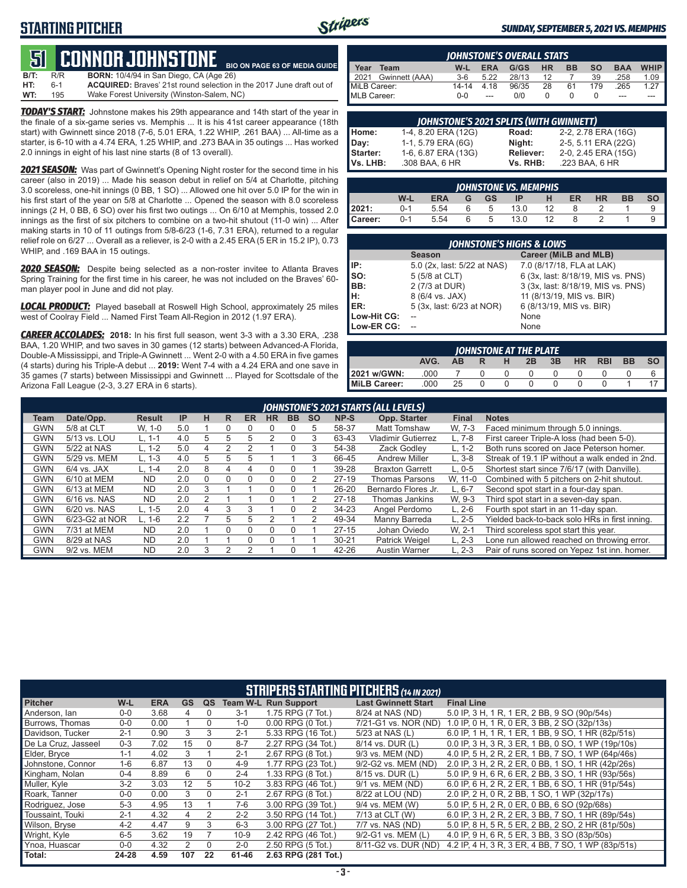## **STARTING PITCHER**



#### *SUNDAY, SEPTEMBER 5, 2021 VS. MEMPHIS*

#### **51****CONNOR JOHNSTONE BIO ON PAGE 63 OF MEDIA GUIDE**

**B/T:** R/R **BORN:** 10/4/94 in San Diego, CA (Age 26)<br>**HT:** 6-1 **ACQUIRED:** Braves' 21st round selection i **HT:** 6-1 **ACQUIRED:** Braves' 21st round selection in the 2017 June draft out of **WT:** 195 Wake Forest University (Winston-Salem. NC) Wake Forest University (Winston-Salem, NC)

*TODAY'S START:* Johnstone makes his 29th appearance and 14th start of the year in the finale of a six-game series vs. Memphis ... It is his 41st career appearance (18th start) with Gwinnett since 2018 (7-6, 5.01 ERA, 1.22 WHIP, .261 BAA) ... All-time as a starter, is 6-10 with a 4.74 ERA, 1.25 WHIP, and .273 BAA in 35 outings ... Has worked 2.0 innings in eight of his last nine starts (8 of 13 overall).

2021 SEASON: Was part of Gwinnett's Opening Night roster for the second time in his career (also in 2019) ... Made his season debut in relief on 5/4 at Charlotte, pitching 3.0 scoreless, one-hit innings (0 BB, 1 SO) ... Allowed one hit over 5.0 IP for the win in his first start of the year on 5/8 at Charlotte ... Opened the season with 8.0 scoreless innings (2 H, 0 BB, 6 SO) over his first two outings ... On 6/10 at Memphis, tossed 2.0 innings as the first of six pitchers to combine on a two-hit shutout (11-0 win) ... After making starts in 10 of 11 outings from 5/8-6/23 (1-6, 7.31 ERA), returned to a regular relief role on 6/27 ... Overall as a reliever, is 2-0 with a 2.45 ERA (5 ER in 15.2 IP), 0.73 WHIP, and .169 BAA in 15 outings.

**2020 SEASON:** Despite being selected as a non-roster invitee to Atlanta Braves Spring Training for the first time in his career, he was not included on the Braves' 60 man player pool in June and did not play.

*LOCAL PRODUCT:* Played baseball at Roswell High School, approximately 25 miles west of Coolray Field ... Named First Team All-Region in 2012 (1.97 ERA).

*CAREER ACCOLADES:* **2018:** In his first full season, went 3-3 with a 3.30 ERA, .238 BAA, 1.20 WHIP, and two saves in 30 games (12 starts) between Advanced-A Florida, Double-A Mississippi, and Triple-A Gwinnett ... Went 2-0 with a 4.50 ERA in five games (4 starts) during his Triple-A debut ... **2019:** Went 7-4 with a 4.24 ERA and one save in 35 games (7 starts) between Mississippi and Gwinnett ... Played for Scottsdale of the Arizona Fall League (2-3, 3.27 ERA in 6 starts).

|              | <b>IOHNSTONE'S OVERALL STATS</b> |           |            |       |           |           |           |            |             |  |  |  |
|--------------|----------------------------------|-----------|------------|-------|-----------|-----------|-----------|------------|-------------|--|--|--|
| Year         | Team                             | W-L       | <b>ERA</b> | G/GS  | <b>HR</b> | <b>BB</b> | <b>SO</b> | <b>BAA</b> | <b>WHIP</b> |  |  |  |
|              | 2021 Gwinnett (AAA)              | $3-6$     | 5.22       | 28/13 | 12        |           | 39        | .258       | 1.09        |  |  |  |
| MiLB Career: |                                  | $14 - 14$ | 4.18       | 96/35 | 28        | 61        | 179       | 265        | 1 27        |  |  |  |
| MLB Career:  |                                  | $0 - 0$   | $-$        | 0/0   |           |           |           | ---        |             |  |  |  |

|          | <b>JOHNSTONE'S 2021 SPLITS (WITH GWINNETT)</b> |           |                     |
|----------|------------------------------------------------|-----------|---------------------|
| Home:    | 1-4, 8.20 ERA (12G)                            | Road:     | 2-2, 2.78 ERA (16G) |
| Day:     | 1-1, 5.79 ERA (6G)                             | Night:    | 2-5, 5.11 ERA (22G) |
| Starter: | 1-6, 6.87 ERA (13G)                            | Reliever: | 2-0, 2.45 ERA (15G) |
| Vs. LHB: | .308 BAA, 6 HR                                 | Vs. RHB:  | .223 BAA, 6 HR      |

|                                                                                 | <b>IOHNSTONE VS. MEMPHIS</b> |      |  |   |      |    |  |  |  |  |  |  |
|---------------------------------------------------------------------------------|------------------------------|------|--|---|------|----|--|--|--|--|--|--|
| <b>SO</b><br><b>BB</b><br>W-L<br>ER<br>HR<br><b>ERA</b><br><b>GS</b><br>ΙP<br>G |                              |      |  |   |      |    |  |  |  |  |  |  |
| 2021:                                                                           | $0 - 1$                      | 5.54 |  | b | 13.0 | 12 |  |  |  |  |  |  |
| Career:                                                                         | $0 - 1$                      | 5.54 |  | 5 | 13.0 | 12 |  |  |  |  |  |  |

| <b>IOHNSTONE'S HIGHS &amp; LOWS</b> |                             |                                    |  |  |  |  |  |  |  |
|-------------------------------------|-----------------------------|------------------------------------|--|--|--|--|--|--|--|
|                                     | <b>Season</b>               | Career (MiLB and MLB)              |  |  |  |  |  |  |  |
| IP:                                 | 5.0 (2x, last: 5/22 at NAS) | 7.0 (8/17/18, FLA at LAK)          |  |  |  |  |  |  |  |
| Iso:                                | 5 (5/8 at CLT)              | 6 (3x, last: 8/18/19, MIS vs. PNS) |  |  |  |  |  |  |  |
| BB:                                 | 2 (7/3 at DUR)              | 3 (3x, last: 8/18/19, MIS vs. PNS) |  |  |  |  |  |  |  |
| lH:                                 | 8 (6/4 vs. JAX)             | 11 (8/13/19, MIS vs. BIR)          |  |  |  |  |  |  |  |
| ER:                                 | 5 (3x, last: 6/23 at NOR)   | 6 (8/13/19, MIS vs. BIR)           |  |  |  |  |  |  |  |
| Low-Hit CG:                         |                             | None                               |  |  |  |  |  |  |  |
| Low-ER CG:                          |                             | None                               |  |  |  |  |  |  |  |

| <b>IOHNSTONE AT THE PLATE</b>                                                          |      |    |              |  |  |  |  |  |  |  |  |  |
|----------------------------------------------------------------------------------------|------|----|--------------|--|--|--|--|--|--|--|--|--|
| <b>SO</b><br><b>BB</b><br>AVG.<br><b>HR</b><br><b>RBI</b><br>3B<br>2B<br>AB.<br>н<br>R |      |    |              |  |  |  |  |  |  |  |  |  |
| 2021 w/GWN:                                                                            | .000 |    |              |  |  |  |  |  |  |  |  |  |
| <b>IMILB Career:</b>                                                                   | .000 | 25 | <sup>n</sup> |  |  |  |  |  |  |  |  |  |

|            |                | JOHNSTONE'S 2021 STARTS (ALL LEVELS) |     |   |   |    |              |           |           |           |                           |            |                                                |
|------------|----------------|--------------------------------------|-----|---|---|----|--------------|-----------|-----------|-----------|---------------------------|------------|------------------------------------------------|
| Team       | Date/Opp.      | <b>Result</b>                        | IP  | н | R | ER | <b>HR</b>    | <b>BB</b> | <b>SO</b> | NP-S      | Opp. Starter              | Final      | <b>Notes</b>                                   |
| GWN        | 5/8 at CLT     | W. 1-0                               | 5.0 |   |   |    |              |           | 5         | 58-37     | <b>Matt Tomshaw</b>       | W. 7-3     | Faced minimum through 5.0 innings.             |
| GWN        | 5/13 vs. LOU   | L. 1-1                               | 4.0 | h | 5 | 5  | 2            |           | 3         | 63-43     | <b>Vladimir Gutierrez</b> | $L.7-8$    | First career Triple-A loss (had been 5-0).     |
| <b>GWN</b> | 5/22 at NAS    | $L. 1-2$                             | 5.0 |   | 2 |    |              |           | 3         | 54-38     | Zack Godlev               | $L. 1-2$   | Both runs scored on Jace Peterson homer.       |
| GWN        | 5/29 vs. MEM   | $L. 1-3$                             | 4.0 | 5 | 5 | .h |              |           | 3         | 66-45     | <b>Andrew Miller</b>      | $L.3-8$    | Streak of 19.1 IP without a walk ended in 2nd. |
| GWN        | $6/4$ vs. JAX  | $L. 1 - 4$                           | 2.0 | 8 | 4 |    | $\mathbf{0}$ |           |           | 39-28     | <b>Braxton Garrett</b>    | $L.0 - 5$  | Shortest start since 7/6/17 (with Danville).   |
| <b>GWN</b> | 6/10 at MEM    | <b>ND</b>                            | 2.0 |   |   |    | 0            |           |           | $27-19$   | <b>Thomas Parsons</b>     | W. 11-0    | Combined with 5 pitchers on 2-hit shutout.     |
| GWN        | 6/13 at MEM    | <b>ND</b>                            | 2.0 | З |   |    | <sup>0</sup> |           |           | $26 - 20$ | Bernardo Flores Jr.       | ∟. 6-7     | Second spot start in a four-day span.          |
| <b>GWN</b> | 6/16 vs. NAS   | <b>ND</b>                            | 2.0 |   |   |    |              |           |           | $27-18$   | Thomas Jankins            | W. 9-3     | Third spot start in a seven-day span.          |
| GWN        | $6/20$ vs. NAS | L. 1-5                               | 2.0 | 4 | 3 | 3  |              |           |           | 34-23     | Angel Perdomo             | $L. 2-6$   | Fourth spot start in an 11-day span.           |
| GWN        | 6/23-G2 at NOR | $L. 1-6$                             | 2.2 |   | 5 | 5  |              |           |           | 49-34     | Manny Barreda             | $L. 2 - 5$ | Yielded back-to-back solo HRs in first inning. |
| <b>GWN</b> | 7/31 at MEM    | <b>ND</b>                            | 2.0 |   | 0 |    | 0            |           |           | $27-15$   | Johan Oviedo              | W. 2-1     | Third scoreless spot start this year.          |
| GWN        | 8/29 at NAS    | <b>ND</b>                            | 2.0 |   |   | U  | U            |           |           | $30 - 21$ | Patrick Weigel            | $L. 2-3$   | Lone run allowed reached on throwing error.    |
| GWN        | 9/2 vs. MEM    | <b>ND</b>                            | 2.0 |   | っ |    |              |           |           | 42-26     | <b>Austin Warner</b>      | $L. 2-3$   | Pair of runs scored on Yepez 1st inn, homer.   |

|                     | <b>STRIPERS STARTING PITCHERS (14 IN 2021)</b> |            |           |                |          |                             |                            |                                                    |  |  |  |
|---------------------|------------------------------------------------|------------|-----------|----------------|----------|-----------------------------|----------------------------|----------------------------------------------------|--|--|--|
| <b>Pitcher</b>      | W-L                                            | <b>ERA</b> | <b>GS</b> | QS             |          | <b>Team W-L Run Support</b> | <b>Last Gwinnett Start</b> | <b>Final Line</b>                                  |  |  |  |
| Anderson, lan       | $0 - 0$                                        | 3.68       | 4         | $\Omega$       | $3-1$    | 1.75 RPG (7 Tot.)           | 8/24 at NAS (ND)           | 5.0 IP, 3 H, 1 R, 1 ER, 2 BB, 9 SO (90p/54s)       |  |  |  |
| Burrows, Thomas     | $0 - 0$                                        | 0.00       |           | $\Omega$       | $1 - 0$  | $0.00$ RPG $(0$ Tot.)       | 7/21-G1 vs. NOR (ND)       | 1.0 IP, 0 H, 1 R, 0 ER, 3 BB, 2 SO (32p/13s)       |  |  |  |
| Davidson, Tucker    | $2 - 1$                                        | 0.90       | 3         | 3              | $2 - 1$  | 5.33 RPG (16 Tot.)          | 5/23 at NAS (L)            | 6.0 IP, 1 H, 1 R, 1 ER, 1 BB, 9 SO, 1 HR (82p/51s) |  |  |  |
| De La Cruz, Jasseel | $0 - 3$                                        | 7.02       | 15        | $\Omega$       | $8 - 7$  | 2.27 RPG (34 Tot.)          | 8/14 vs. DUR (L)           | 0.0 IP, 3 H, 3 R, 3 ER, 1 BB, 0 SO, 1 WP (19p/10s) |  |  |  |
| Elder, Bryce        | $1 - 1$                                        | 4.02       | 3         |                | $2 - 1$  | 2.67 RPG (8 Tot.)           | 9/3 vs. MEM (ND)           | 4.0 IP, 5 H, 2 R, 2 ER, 1 BB, 7 SO, 1 WP (64p/46s) |  |  |  |
| Johnstone, Connor   | $1 - 6$                                        | 6.87       | 13        | $\Omega$       | $4 - 9$  | 1.77 RPG (23 Tot.)          | 9/2-G2 vs. MEM (ND)        | 2.0 IP, 3 H, 2 R, 2 ER, 0 BB, 1 SO, 1 HR (42p/26s) |  |  |  |
| Kingham, Nolan      | $0 - 4$                                        | 8.89       | 6         | $\Omega$       | $2 - 4$  | 1.33 RPG (8 Tot.)           | 8/15 vs. DUR (L)           | 5.0 IP, 9 H, 6 R, 6 ER, 2 BB, 3 SO, 1 HR (93p/56s) |  |  |  |
| Muller, Kyle        | $3 - 2$                                        | 3.03       | 12        | 5.             | $10 - 2$ | 3.83 RPG (46 Tot.)          | 9/1 vs. MEM (ND)           | 6.0 IP, 6 H, 2 R, 2 ER, 1 BB, 6 SO, 1 HR (91p/54s) |  |  |  |
| Roark, Tanner       | $0-0$                                          | 0.00       | 3         | $\Omega$       | $2 - 1$  | 2.67 RPG (8 Tot.)           | 8/22 at LOU (ND)           | 2.0 IP, 2 H, 0 R, 2 BB, 1 SO, 1 WP (32p/17s)       |  |  |  |
| Rodriguez, Jose     | $5 - 3$                                        | 4.95       | 13        |                | 7-6      | 3.00 RPG (39 Tot.)          | 9/4 vs. MEM (W)            | 5.0 IP, 5 H, 2 R, 0 ER, 0 BB, 6 SO (92p/68s)       |  |  |  |
| Toussaint, Touki    | $2 - 1$                                        | 4.32       | 4         | $\overline{2}$ | $2 - 2$  | 3.50 RPG (14 Tot.)          | 7/13 at CLT (W)            | 6.0 IP, 3 H, 2 R, 2 ER, 3 BB, 7 SO, 1 HR (89p/54s) |  |  |  |
| Wilson, Bryse       | $4 - 2$                                        | 4.47       | 9         | 3              | $6 - 3$  | 3.00 RPG (27 Tot.)          | 7/7 vs. NAS (ND)           | 5.0 IP, 8 H, 5 R, 5 ER, 2 BB, 2 SO, 2 HR (81p/50s) |  |  |  |
| Wright, Kyle        | $6 - 5$                                        | 3.62       | 19        |                | $10-9$   | 2.42 RPG (46 Tot.)          | 9/2-G1 vs. MEM (L)         | 4.0 IP, 9 H, 6 R, 5 ER, 3 BB, 3 SO (83p/50s)       |  |  |  |
| Ynoa, Huascar       | $0 - 0$                                        | 4.32       | 2         | $\Omega$       | $2 - 0$  | 2.50 RPG (5 Tot.)           | 8/11-G2 vs. DUR (ND)       | 4.2 IP, 4 H, 3 R, 3 ER, 4 BB, 7 SO, 1 WP (83p/51s) |  |  |  |
| Total:              | 24-28                                          | 4.59       | 107       | 22             | 61-46    | 2.63 RPG (281 Tot.)         |                            |                                                    |  |  |  |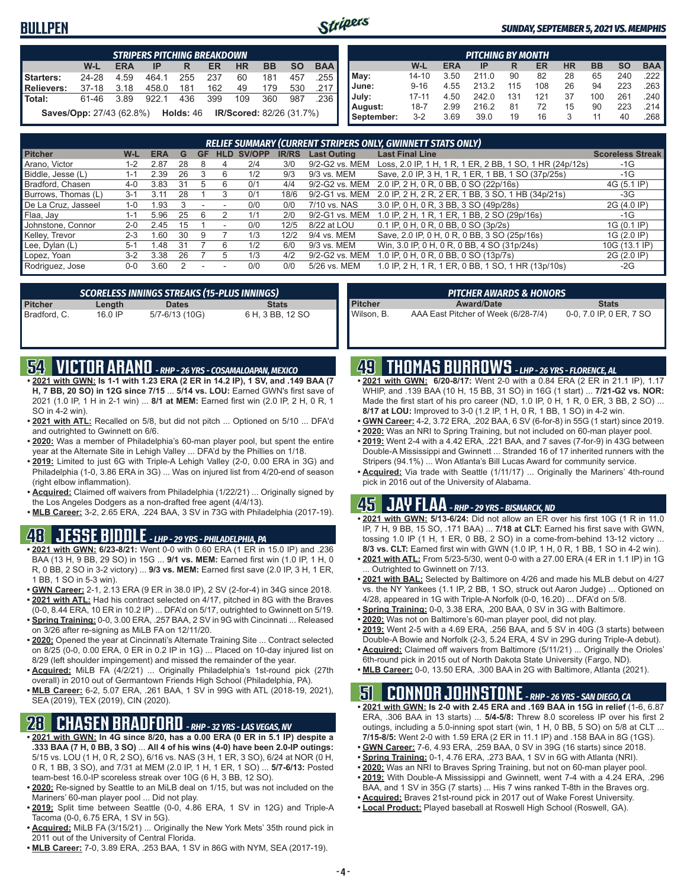## **BULLPEN**



#### *SUNDAY, SEPTEMBER 5, 2021 VS. MEMPHIS*

|                                                                                        | <b>STRIPERS PITCHING BREAKDOWN</b> |      |       |     |     |     |     |     |        |  |  |  |
|----------------------------------------------------------------------------------------|------------------------------------|------|-------|-----|-----|-----|-----|-----|--------|--|--|--|
| <b>BAA</b><br><b>SO</b><br>W-L<br>BB<br><b>HR</b><br><b>ERA</b><br>ER<br>IP<br>R       |                                    |      |       |     |     |     |     |     |        |  |  |  |
| Starters:                                                                              | 24-28                              | 4.59 | 464.1 | 255 | 237 | 60  | 181 | 457 | .255   |  |  |  |
| Relievers:                                                                             | $37 - 18$                          | 3.18 | 458.0 | 181 | 162 | 49  | 179 | 530 | .217 I |  |  |  |
| <b>Total:</b>                                                                          | 61-46                              | 3.89 | 922.1 | 436 | 399 | 109 | 360 | 987 | .236   |  |  |  |
| <b>IR/Scored: 82/26 (31.7%)</b><br><b>Saves/Opp: 27/43 (62.8%)</b><br><b>Holds: 46</b> |                                    |      |       |     |     |     |     |     |        |  |  |  |

|            | <b>PITCHING BY MONTH</b> |            |       |     |     |           |           |           |            |  |  |  |
|------------|--------------------------|------------|-------|-----|-----|-----------|-----------|-----------|------------|--|--|--|
|            | W-L                      | <b>ERA</b> | IP    | R   | ER  | <b>HR</b> | <b>BB</b> | <b>SO</b> | <b>BAA</b> |  |  |  |
| May:       | 14-10                    | 3.50       | 211.0 | 90  | 82  | 28        | 65        | 240       | .222       |  |  |  |
| June:      | $9 - 16$                 | 4.55       | 213.2 | 115 | 108 | 26        | 94        | 223       | .263       |  |  |  |
| July:      | $17 - 11$                | 4.50       | 242.0 | 131 | 121 | 37        | 100       | 261       | .240       |  |  |  |
| August:    | 18-7                     | 2.99       | 216.2 | 81  | 72  | 15        | 90        | 223       | .214       |  |  |  |
| September: | $3-2$                    | 3.69       | 39.0  | 19  | 16  | 3         | 11        | 40        | .268       |  |  |  |

| <b>RELIEF SUMMARY (CURRENT STRIPERS ONLY, GWINNETT STATS ONLY)</b> |         |            |    |    |            |        |              |                    |                                                          |                         |
|--------------------------------------------------------------------|---------|------------|----|----|------------|--------|--------------|--------------------|----------------------------------------------------------|-------------------------|
| <b>Pitcher</b>                                                     | W-L     | <b>ERA</b> | G  | GF | <b>HLD</b> | SV/OPP | <b>IR/RS</b> | <b>Last Outing</b> | <b>Last Final Line</b>                                   | <b>Scoreless Streak</b> |
| Arano, Victor                                                      | 1-2     | 2.87       | 28 |    | 4          | 2/4    | 3/0          | 9/2-G2 vs. MEM     | Loss, 2.0 IP, 1 H, 1 R, 1 ER, 2 BB, 1 SO, 1 HR (24p/12s) | $-1G$                   |
| Biddle, Jesse (L)                                                  | 1-1     | 2.39       | 26 | 3  | 6          | 1/2    | 9/3          | 9/3 vs. MEM        | Save, 2.0 IP, 3 H, 1 R, 1 ER, 1 BB, 1 SO (37p/25s)       | $-1G$                   |
| Bradford, Chasen                                                   | $4 - 0$ | 3.83       | 31 |    | 6          | 0/1    | 4/4          | 9/2-G2 vs. MEM     | 2.0 IP, 2 H, 0 R, 0 BB, 0 SO (22p/16s)                   | 4G (5.1 IP)             |
| Burrows, Thomas (L)                                                | $3 - 1$ | 3.11       | 28 |    |            | 0/1    | 18/6         | 9/2-G1 vs. MEM     | 2.0 IP, 2 H, 2 R, 2 ER, 1 BB, 3 SO, 1 HB (34p/21s)       | $-3G$                   |
| De La Cruz, Jasseel                                                | $1 - 0$ | .93        |    |    |            | 0/0    | 0/0          | 7/10 vs. NAS       | 3.0 IP, 0 H, 0 R, 3 BB, 3 SO (49p/28s)                   | 2G (4.0 IP)             |
| Flaa, Jay                                                          | 1-1     | 5.96       | 25 |    |            | 1/1    | 2/0          | 9/2-G1 vs. MEM     | 1.0 IP, 2 H, 1 R, 1 ER, 1 BB, 2 SO (29p/16s)             | $-1G$                   |
| Johnstone, Connor                                                  | $2 - 0$ | 2.45       | 15 |    |            | 0/0    | 12/5         | 8/22 at LOU        | 0.1 IP, 0 H, 0 R, 0 BB, 0 SO (3p/2s)                     | 1G (0.1 IP)             |
| Kelley, Trevor                                                     | $2 - 3$ | .60        | 30 |    |            | 1/3    | 12/2         | 9/4 vs. MEM        | Save, 2.0 IP, 0 H, 0 R, 0 BB, 3 SO (25p/16s)             | 1G (2.0 IP)             |
| Lee, Dylan (L)                                                     | $5-1$   | .48        | 31 |    | ĥ          | 1/2    | 6/0          | 9/3 vs. MEM        | Win, 3.0 IP, 0 H, 0 R, 0 BB, 4 SO (31p/24s)              | 10G (13.1 IP)           |
| Lopez, Yoan                                                        | $3-2$   | 3.38       | 26 |    |            | 1/3    | 4/2          | 9/2-G2 vs. MEM     | 1.0 IP, 0 H, 0 R, 0 BB, 0 SO (13p/7s)                    | 2G (2.0 IP)             |
| Rodriguez, Jose                                                    | $0 - 0$ | 3.60       |    |    |            | 0/0    | 0/0          | 5/26 vs. MEM       | 1.0 IP, 2 H, 1 R, 1 ER, 0 BB, 1 SO, 1 HR (13p/10s)       | $-2G$                   |

|              |         | <b>SCORELESS INNINGS STREAKS (15-PLUS INNINGS)</b> |                  |
|--------------|---------|----------------------------------------------------|------------------|
| Pitcher      | Length  | <b>Dates</b>                                       | <b>Stats</b>     |
| Bradford, C. | 16.0 IP | 5/7-6/13 (10G)                                     | 6 H, 3 BB, 12 SO |

|                | PITCHER AWARDS & HONORS .           |                         |
|----------------|-------------------------------------|-------------------------|
| <b>Pitcher</b> | <b>Award/Date</b>                   | <b>Stats</b>            |
| Wilson, B.     | AAA East Pitcher of Week (6/28-7/4) | 0-0, 7.0 IP, 0 ER, 7 SO |

## **54 VICTOR ARANO** *- RHP - 26 YRS - COSAMALOAPAN, MEXICO*

- **• 2021 with GWN: Is 1-1 with 1.23 ERA (2 ER in 14.2 IP), 1 SV, and .149 BAA (7 H, 7 BB, 20 SO) in 12G since 7/15** ... **5/14 vs. LOU:** Earned GWN's first save of 2021 (1.0 IP, 1 H in 2-1 win) ... **8/1 at MEM:** Earned first win (2.0 IP, 2 H, 0 R, 1 SO in 4-2 win).
- **• 2021 with ATL:** Recalled on 5/8, but did not pitch ... Optioned on 5/10 ... DFA'd and outrighted to Gwinnett on 6/6.
- **• 2020:** Was a member of Philadelphia's 60-man player pool, but spent the entire year at the Alternate Site in Lehigh Valley ... DFA'd by the Phillies on 1/18.
- **• 2019:** Limited to just 6G with Triple-A Lehigh Valley (2-0, 0.00 ERA in 3G) and Philadelphia (1-0, 3.86 ERA in 3G) ... Was on injured list from 4/20-end of season (right elbow inflammation).
- **• Acquired:** Claimed off waivers from Philadelphia (1/22/21) ... Originally signed by the Los Angeles Dodgers as a non-drafted free agent (4/4/13).
- **• MLB Career:** 3-2, 2.65 ERA, .224 BAA, 3 SV in 73G with Philadelphia (2017-19).

## **48 JESSE BIDDLE** *- LHP - 29 YRS - PHILADELPHIA, PA*

- **• 2021 with GWN: 6/23-8/21:** Went 0-0 with 0.60 ERA (1 ER in 15.0 IP) and .236 BAA (13 H, 9 BB, 29 SO) in 15G ... **9/1 vs. MEM:** Earned first win (1.0 IP, 1 H, 0 R, 0 BB, 2 SO in 3-2 victory) ... **9/3 vs. MEM:** Earned first save (2.0 IP, 3 H, 1 ER, 1 BB, 1 SO in 5-3 win).
- **• GWN Career:** 2-1, 2.13 ERA (9 ER in 38.0 IP), 2 SV (2-for-4) in 34G since 2018. **• 2021 with ATL:** Had his contract selected on 4/17, pitched in 8G with the Braves
- (0-0, 8.44 ERA, 10 ER in 10.2 IP) ... DFA'd on 5/17, outrighted to Gwinnett on 5/19. **• Spring Training:** 0-0, 3.00 ERA, .257 BAA, 2 SV in 9G with Cincinnati ... Released on 3/26 after re-signing as MiLB FA on 12/11/20.
- **• 2020:** Opened the year at Cincinnati's Alternate Training Site ... Contract selected on 8/25 (0-0, 0.00 ERA, 0 ER in 0.2 IP in 1G) ... Placed on 10-day injured list on 8/29 (left shoulder impingement) and missed the remainder of the year.
- **• Acquired:** MiLB FA (4/2/21) ... Originally Philadelphia's 1st-round pick (27th overall) in 2010 out of Germantown Friends High School (Philadelphia, PA).
- **• MLB Career:** 6-2, 5.07 ERA, .261 BAA, 1 SV in 99G with ATL (2018-19, 2021), SEA (2019), TEX (2019), CIN (2020).

## **28 CHASEN BRADFORD** *- RHP - 32 YRS - LAS VEGAS, NV*

- **• 2021 with GWN: In 4G since 8/20, has a 0.00 ERA (0 ER in 5.1 IP) despite a .333 BAA (7 H, 0 BB, 3 SO)** ... **All 4 of his wins (4-0) have been 2.0-IP outings:** 5/15 vs. LOU (1 H, 0 R, 2 SO), 6/16 vs. NAS (3 H, 1 ER, 3 SO), 6/24 at NOR (0 H, 0 R, 1 BB, 3 SO), and 7/31 at MEM (2.0 IP, 1 H, 1 ER, 1 SO) ... **5/7-6/13:** Posted team-best 16.0-IP scoreless streak over 10G (6 H, 3 BB, 12 SO).
- **• 2020:** Re-signed by Seattle to an MiLB deal on 1/15, but was not included on the Mariners' 60-man player pool ... Did not play.
- **• 2019:** Split time between Seattle (0-0, 4.86 ERA, 1 SV in 12G) and Triple-A Tacoma (0-0, 6.75 ERA, 1 SV in 5G).
- **• Acquired:** MiLB FA (3/15/21) ... Originally the New York Mets' 35th round pick in 2011 out of the University of Central Florida.
- **• MLB Career:** 7-0, 3.89 ERA, .253 BAA, 1 SV in 86G with NYM, SEA (2017-19).

# **49 THOMAS BURROWS** *- LHP - 26 YRS - FLORENCE, AL*

- **• 2021 with GWN: 6/20-8/17:** Went 2-0 with a 0.84 ERA (2 ER in 21.1 IP), 1.17 WHIP, and .139 BAA (10 H, 15 BB, 31 SO) in 16G (1 start) ... **7/21-G2 vs. NOR:** Made the first start of his pro career (ND, 1.0 IP, 0 H, 1 R, 0 ER, 3 BB, 2 SO) ... **8/17 at LOU:** Improved to 3-0 (1.2 IP, 1 H, 0 R, 1 BB, 1 SO) in 4-2 win.
- **• GWN Career:** 4-2, 3.72 ERA, .202 BAA, 6 SV (6-for-8) in 55G (1 start) since 2019.
- **• 2020:** Was an NRI to Spring Training, but not included on 60-man player pool.
- **• 2019:** Went 2-4 with a 4.42 ERA, .221 BAA, and 7 saves (7-for-9) in 43G between Double-A Mississippi and Gwinnett ... Stranded 16 of 17 inherited runners with the Stripers (94.1%) ... Won Atlanta's Bill Lucas Award for community service.
- **• Acquired:** Via trade with Seattle (1/11/17) ... Originally the Mariners' 4th-round pick in 2016 out of the University of Alabama.

# **45 JAY FLAA** *- RHP - 29 YRS - BISMARCK, ND*

- **• 2021 with GWN: 5/13-6/24:** Did not allow an ER over his first 10G (1 R in 11.0 IP, 7 H, 9 BB, 15 SO, .171 BAA) ... **7/18 at CLT:** Earned his first save with GWN, tossing 1.0 IP (1 H, 1 ER, 0 BB, 2 SO) in a come-from-behind 13-12 victory ... **8/3 vs. CLT:** Earned first win with GWN (1.0 IP, 1 H, 0 R, 1 BB, 1 SO in 4-2 win).
- **• 2021 with ATL:** From 5/23-5/30, went 0-0 with a 27.00 ERA (4 ER in 1.1 IP) in 1G ... Outrighted to Gwinnett on 7/13.
- **• 2021 with BAL:** Selected by Baltimore on 4/26 and made his MLB debut on 4/27 vs. the NY Yankees (1.1 IP, 2 BB, 1 SO, struck out Aaron Judge) ... Optioned on 4/28, appeared in 1G with Triple-A Norfolk (0-0, 16.20) ... DFA'd on 5/8.
- **• Spring Training:** 0-0, 3.38 ERA, .200 BAA, 0 SV in 3G with Baltimore.
- **• 2020:** Was not on Baltimore's 60-man player pool, did not play.
- **• 2019:** Went 2-5 with a 4.69 ERA, .256 BAA, and 5 SV in 40G (3 starts) between Double-A Bowie and Norfolk (2-3, 5.24 ERA, 4 SV in 29G during Triple-A debut).
- **• Acquired:** Claimed off waivers from Baltimore (5/11/21) ... Originally the Orioles' 6th-round pick in 2015 out of North Dakota State University (Fargo, ND).
- **• MLB Career:** 0-0, 13.50 ERA, .300 BAA in 2G with Baltimore, Atlanta (2021).

## **51 CONNOR JOHNSTONE** *- RHP - 26 YRS - SAN DIEGO, CA*

- **• 2021 with GWN: Is 2-0 with 2.45 ERA and .169 BAA in 15G in relief** (1-6, 6.87 ERA, .306 BAA in 13 starts) ... **5/4-5/8:** Threw 8.0 scoreless IP over his first 2 outings, including a 5.0-inning spot start (win, 1 H, 0 BB, 5 SO) on 5/8 at CLT ... **7/15-8/5:** Went 2-0 with 1.59 ERA (2 ER in 11.1 IP) and .158 BAA in 8G (1GS).
- **• GWN Career:** 7-6, 4.93 ERA, .259 BAA, 0 SV in 39G (16 starts) since 2018.
- **• Spring Training:** 0-1, 4.76 ERA, .273 BAA, 1 SV in 6G with Atlanta (NRI).
- **• 2020:** Was an NRI to Braves Spring Training, but not on 60-man player pool.
- **• 2019:** With Double-A Mississippi and Gwinnett, went 7-4 with a 4.24 ERA, .296
	- BAA, and 1 SV in 35G (7 starts) ... His 7 wins ranked T-8th in the Braves org.
- **• Acquired:** Braves 21st-round pick in 2017 out of Wake Forest University.
- **• Local Product:** Played baseball at Roswell High School (Roswell, GA).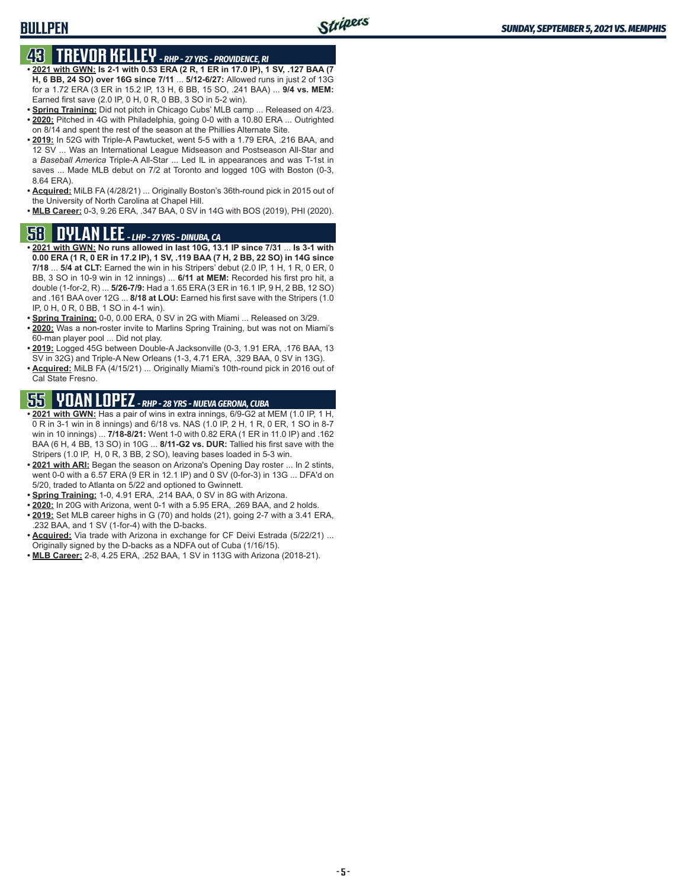## **BULLPEN**

# **43 TREVOR KELLEY** *- RHP - 27 YRS - PROVIDENCE, RI*

- **• 2021 with GWN: Is 2-1 with 0.53 ERA (2 R, 1 ER in 17.0 IP), 1 SV, .127 BAA (7 H, 6 BB, 24 SO) over 16G since 7/11** ... **5/12-6/27:** Allowed runs in just 2 of 13G for a 1.72 ERA (3 ER in 15.2 IP, 13 H, 6 BB, 15 SO, .241 BAA) ... **9/4 vs. MEM:** Earned first save (2.0 IP, 0 H, 0 R, 0 BB, 3 SO in 5-2 win).
- **• Spring Training:** Did not pitch in Chicago Cubs' MLB camp ... Released on 4/23. **• 2020:** Pitched in 4G with Philadelphia, going 0-0 with a 10.80 ERA ... Outrighted on 8/14 and spent the rest of the season at the Phillies Alternate Site.
- **• 2019:** In 52G with Triple-A Pawtucket, went 5-5 with a 1.79 ERA, .216 BAA, and 12 SV ... Was an International League Midseason and Postseason All-Star and a *Baseball America* Triple-A All-Star ... Led IL in appearances and was T-1st in saves ... Made MLB debut on 7/2 at Toronto and logged 10G with Boston (0-3, 8.64 ERA).
- **• Acquired:** MiLB FA (4/28/21) ... Originally Boston's 36th-round pick in 2015 out of the University of North Carolina at Chapel Hill.
- **• MLB Career:** 0-3, 9.26 ERA, .347 BAA, 0 SV in 14G with BOS (2019), PHI (2020).

## **58 DYLAN LEE** *- LHP - 27 YRS - DINUBA, CA*

- **• 2021 with GWN: No runs allowed in last 10G, 13.1 IP since 7/31** ... **Is 3-1 with 0.00 ERA (1 R, 0 ER in 17.2 IP), 1 SV, .119 BAA (7 H, 2 BB, 22 SO) in 14G since 7/18** ... **5/4 at CLT:** Earned the win in his Stripers' debut (2.0 IP, 1 H, 1 R, 0 ER, 0 BB, 3 SO in 10-9 win in 12 innings) ... **6/11 at MEM:** Recorded his first pro hit, a double (1-for-2, R) ... **5/26-7/9:** Had a 1.65 ERA (3 ER in 16.1 IP, 9 H, 2 BB, 12 SO) and .161 BAA over 12G ... **8/18 at LOU:** Earned his first save with the Stripers (1.0 IP, 0 H, 0 R, 0 BB, 1 SO in 4-1 win).
- **• Spring Training:** 0-0, 0.00 ERA, 0 SV in 2G with Miami ... Released on 3/29.
- **• 2020:** Was a non-roster invite to Marlins Spring Training, but was not on Miami's 60-man player pool ... Did not play.
- **• 2019:** Logged 45G between Double-A Jacksonville (0-3, 1.91 ERA, .176 BAA, 13 SV in 32G) and Triple-A New Orleans (1-3, 4.71 ERA, .329 BAA, 0 SV in 13G).
- **• Acquired:** MiLB FA (4/15/21) ... Originally Miami's 10th-round pick in 2016 out of Cal State Fresno.

# **55 YOAN LOPEZ** *- RHP - 28 YRS - NUEVA GERONA, CUBA*

- **• 2021 with GWN:** Has a pair of wins in extra innings, 6/9-G2 at MEM (1.0 IP, 1 H, 0 R in 3-1 win in 8 innings) and 6/18 vs. NAS (1.0 IP, 2 H, 1 R, 0 ER, 1 SO in 8-7 win in 10 innings) ... **7/18-8/21:** Went 1-0 with 0.82 ERA (1 ER in 11.0 IP) and .162 BAA (6 H, 4 BB, 13 SO) in 10G ... **8/11-G2 vs. DUR:** Tallied his first save with the Stripers (1.0 IP, H, 0 R, 3 BB, 2 SO), leaving bases loaded in 5-3 win.
- **• 2021 with ARI:** Began the season on Arizona's Opening Day roster ... In 2 stints, went 0-0 with a 6.57 ERA (9 ER in 12.1 IP) and 0 SV (0-for-3) in 13G ... DFA'd on 5/20, traded to Atlanta on 5/22 and optioned to Gwinnett.
- **• Spring Training:** 1-0, 4.91 ERA, .214 BAA, 0 SV in 8G with Arizona.
- **• 2020:** In 20G with Arizona, went 0-1 with a 5.95 ERA, .269 BAA, and 2 holds.
- **• 2019:** Set MLB career highs in G (70) and holds (21), going 2-7 with a 3.41 ERA, .232 BAA, and 1 SV (1-for-4) with the D-backs.
- **• Acquired:** Via trade with Arizona in exchange for CF Deivi Estrada (5/22/21) ... Originally signed by the D-backs as a NDFA out of Cuba (1/16/15).
- **• MLB Career:** 2-8, 4.25 ERA, .252 BAA, 1 SV in 113G with Arizona (2018-21).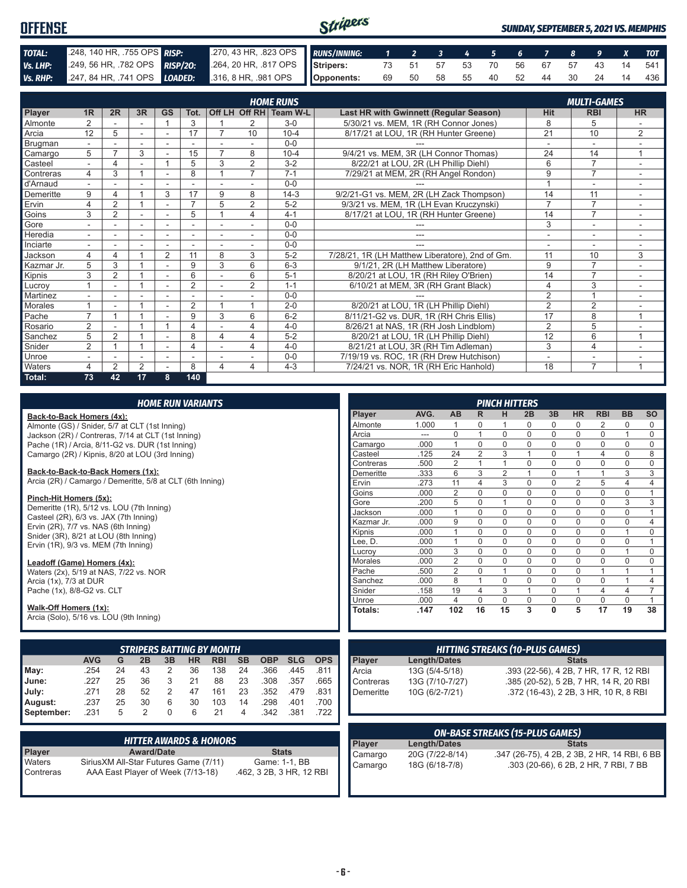| <b>OFFENSE</b> |                            |                                                                                              | Stripers |  |  |  |  |  | <b>SUNDAY, SEPTEMBER 5, 2021 VS. MEMPHIS</b> |
|----------------|----------------------------|----------------------------------------------------------------------------------------------|----------|--|--|--|--|--|----------------------------------------------|
| TOTAL:         | 248, 140 HR, 755 OPS RISP: | 270, 43 HR, 323 OPS RUNS/INNING: 1 2 3 4 5 6 7 8 9 X TOT                                     |          |  |  |  |  |  |                                              |
| Vs. LHP:       |                            | 249, 56 HR, 782 OPS RISP/20: 264, 20 HR, 817 OPS Stripers: 73 51 57 53 70 56 67 57 43 14 541 |          |  |  |  |  |  |                                              |
|                |                            | Vs. RHP: 247, 84 HR, 741 OPS LOADED: 316, 8 HR, 981 OPS Opponents:                           |          |  |  |  |  |  | 69 50 58 55 40 52 44 30 24 14 436            |

|            | <b>HOME RUNS</b><br><b>MULTI-GAMES</b> |                |    |                          |                |                          |                |                        |                                                 |                |                          |                |
|------------|----------------------------------------|----------------|----|--------------------------|----------------|--------------------------|----------------|------------------------|-------------------------------------------------|----------------|--------------------------|----------------|
| Player     | 1 <sub>R</sub>                         | 2R             | 3R | <b>GS</b>                | Tot.           |                          |                | Off LH Off RH Team W-L | Last HR with Gwinnett (Regular Season)          | <b>Hit</b>     | <b>RBI</b>               | <b>HR</b>      |
| Almonte    | 2                                      |                |    |                          | 3              |                          | 2              | $3-0$                  | 5/30/21 vs. MEM, 1R (RH Connor Jones)           | 8              | 5                        |                |
| Arcia      | 12                                     | 5              | ÷  | $\sim$                   | 17             |                          | 10             | $10 - 4$               | 8/17/21 at LOU, 1R (RH Hunter Greene)           | 21             | 10                       | 2              |
| Brugman    |                                        |                |    |                          |                |                          |                | $0 - 0$                |                                                 | ٠              | ٠                        |                |
| Camargo    | 5                                      |                | 3  |                          | 15             |                          | 8              | $10 - 4$               | 9/4/21 vs. MEM, 3R (LH Connor Thomas)           | 24             | 14                       | 1              |
| Casteel    |                                        | 4              |    |                          | 5              | 3                        | 2              | $3 - 2$                | 8/22/21 at LOU, 2R (LH Phillip Diehl)           | 6              | $\overline{7}$           |                |
| Contreras  | 4                                      | 3              |    | ٠                        | 8              |                          | 7              | $7 - 1$                | 7/29/21 at MEM, 2R (RH Angel Rondon)            | 9              | $\overline{7}$           |                |
| d'Arnaud   |                                        |                |    | ٠                        |                |                          |                | $0 - 0$                |                                                 |                | $\overline{a}$           | ٠              |
| Demeritte  | 9                                      | 4              |    | 3                        | 17             | 9                        | 8              | $14-3$                 | 9/2/21-G1 vs. MEM, 2R (LH Zack Thompson)        | 14             | 11                       |                |
| Ervin      | 4                                      | 2              |    | $\sim$                   | $\overline{ }$ | 5                        | $\overline{2}$ | $5-2$                  | 9/3/21 vs. MEM, 1R (LH Evan Kruczynski)         | $\overline{7}$ | $\overline{7}$           | $\sim$         |
| Goins      | 3                                      | 2              |    |                          | 5              |                          | 4              | $4 - 1$                | 8/17/21 at LOU, 1R (RH Hunter Greene)           | 14             | $\overline{7}$           |                |
| Gore       |                                        |                | ٠  |                          |                |                          |                | $0 - 0$                |                                                 | 3              | ٠                        |                |
| Heredia    | $\sim$                                 | ÷.             | ÷. | $\overline{\phantom{a}}$ | ٠              | $\overline{\phantom{a}}$ | $\sim$         | $0 - 0$                | ---                                             | ٠              | $\overline{\phantom{a}}$ | $\sim$         |
| Inciarte   |                                        |                |    |                          |                |                          |                | $0 - 0$                |                                                 |                | ۰                        |                |
| Jackson    | 4                                      | 4              |    | $\overline{2}$           | 11             | 8                        | 3              | $5-2$                  | 7/28/21, 1R (LH Matthew Liberatore), 2nd of Gm. | 11             | 10                       | 3              |
| Kazmar Jr. | 5                                      | 3              |    |                          | 9              | 3                        | 6              | $6 - 3$                | 9/1/21, 2R (LH Matthew Liberatore)              | 9              | $\overline{7}$           |                |
| Kipnis     | 3                                      | $\overline{2}$ |    | $\sim$                   | 6              |                          | 6              | $5 - 1$                | 8/20/21 at LOU, 1R (RH Riley O'Brien)           | 14             | $\overline{7}$           |                |
| Lucrov     |                                        | ۰              |    | ٠                        | $\overline{2}$ |                          | 2              | $1 - 1$                | 6/10/21 at MEM, 3R (RH Grant Black)             | $\overline{4}$ | 3                        | $\sim$         |
| Martinez   |                                        |                |    |                          |                |                          |                | $0 - 0$                |                                                 | $\overline{2}$ | $\overline{ }$           |                |
| Morales    |                                        |                |    | $\overline{\phantom{a}}$ | $\overline{2}$ |                          |                | $2 - 0$                | 8/20/21 at LOU, 1R (LH Phillip Diehl)           | $\overline{2}$ | $\overline{2}$           |                |
| Pache      | $\overline{ }$                         |                |    |                          | 9              | 3                        | 6              | $6 - 2$                | 8/11/21-G2 vs. DUR, 1R (RH Chris Ellis)         | 17             | 8                        | 1              |
| Rosario    | $\overline{2}$                         |                |    |                          | 4              |                          | 4              | $4 - 0$                | 8/26/21 at NAS, 1R (RH Josh Lindblom)           | $\overline{2}$ | 5                        |                |
| Sanchez    | 5                                      | 2              |    |                          | 8              | 4                        | 4              | $5 - 2$                | 8/20/21 at LOU, 1R (LH Phillip Diehl)           | 12             | 6                        | $\overline{ }$ |
| Snider     | $\overline{2}$                         |                |    | $\overline{\phantom{a}}$ | 4              |                          | 4              | $4 - 0$                | 8/21/21 at LOU, 3R (RH Tim Adleman)             | 3              | $\overline{4}$           | $\sim$         |
| Unroe      |                                        |                | ۰  |                          |                |                          |                | $0 - 0$                | 7/19/19 vs. ROC, 1R (RH Drew Hutchison)         | ۰              | ۰                        |                |
| Waters     | 4                                      | $\overline{2}$ | 2  |                          | 8              | 4                        | 4              | $4 - 3$                | 7/24/21 vs. NOR, 1R (RH Eric Hanhold)           | 18             | $\overline{7}$           |                |
| Total:     | 73                                     | 42             | 17 | 8                        | 140            |                          |                |                        |                                                 |                |                          |                |

|                                                                                                |                                                                  |    |                   | <b>HOME RUN VARIANTS</b> |           |                                   |                |                          |            |            |                   |                     |                                        |                            | <b>PINCH HITTERS</b>        |              |                            |                  |                                              |                             |                   |
|------------------------------------------------------------------------------------------------|------------------------------------------------------------------|----|-------------------|--------------------------|-----------|-----------------------------------|----------------|--------------------------|------------|------------|-------------------|---------------------|----------------------------------------|----------------------------|-----------------------------|--------------|----------------------------|------------------|----------------------------------------------|-----------------------------|-------------------|
| Back-to-Back Homers (4x):                                                                      |                                                                  |    |                   |                          |           |                                   |                |                          |            |            | Player            | AVG.                | AB                                     | R.                         | н                           | 2B           | 3B                         | <b>HR</b>        | <b>RBI</b>                                   | <b>BB</b>                   | <b>SO</b>         |
| Almonte (GS) / Snider, 5/7 at CLT (1st Inning)                                                 |                                                                  |    |                   |                          |           |                                   |                |                          |            |            | Almonte           | 1.000               | 1                                      | 0                          |                             | 0            | 0                          | 0                | 2                                            | 0                           | 0                 |
|                                                                                                | Jackson (2R) / Contreras, 7/14 at CLT (1st Inning)               |    |                   |                          |           |                                   |                |                          |            | Arcia      | $---$             | $\mathbf 0$         | $\mathbf{1}$                           | $\mathbf 0$                | 0                           | $\mathbf 0$  | 0                          | 0                | $\mathbf{1}$                                 | $\mathbf 0$                 |                   |
|                                                                                                | Pache (1R) / Arcia, 8/11-G2 vs. DUR (1st Inning)                 |    |                   |                          |           |                                   |                |                          |            |            | Camargo           | .000                | $\mathbf{1}$                           | $\mathbf 0$                | $\mathbf 0$                 | 0            | $\mathbf 0$                | $\mathbf 0$      | 0                                            | $\mathbf 0$                 | $\mathsf 0$       |
| Camargo (2R) / Kipnis, 8/20 at LOU (3rd Inning)                                                |                                                                  |    |                   |                          |           |                                   |                |                          |            |            | Casteel           | .125                | $\overline{24}$                        | 2                          | 3                           | $\mathbf{1}$ | $\mathbf 0$                | $\mathbf{1}$     | 4                                            | $\mathbf 0$                 | 8                 |
|                                                                                                |                                                                  |    |                   |                          |           |                                   |                |                          |            |            | Contreras         | .500                | $\overline{2}$                         | $\mathbf{1}$               | $\mathbf{1}$                | 0            | $\mathbf 0$                | $\mathbf 0$      | 0                                            | $\mathbf 0$                 | $\mathbf 0$       |
| Back-to-Back-to-Back Homers (1x):<br>Arcia (2R) / Camargo / Demeritte, 5/8 at CLT (6th Inning) |                                                                  |    |                   |                          |           |                                   |                |                          |            |            | Demeritte         | .333                | 6                                      | 3                          | $\overline{2}$              | $\mathbf{1}$ | $\Omega$                   | $\mathbf{1}$     | $\mathbf{1}$                                 | 3                           | 3                 |
|                                                                                                |                                                                  |    |                   |                          |           |                                   |                |                          |            |            | Ervin             | .273                | 11                                     | 4                          | 3                           | 0            | 0                          | 2                | 5                                            | 4                           | 4                 |
| Pinch-Hit Homers (5x):                                                                         |                                                                  |    |                   |                          |           |                                   |                |                          |            |            | Goins             | .000                | $\overline{2}$                         | $\mathbf 0$                | $\mathbf 0$                 | 0            | 0                          | $\mathbf 0$      | 0                                            | $\mathbf 0$                 | $\mathbf{1}$      |
| Demeritte (1R), 5/12 vs. LOU (7th Inning)                                                      |                                                                  |    |                   |                          |           |                                   |                |                          |            |            | Gore              | .200                | 5                                      | $\mathbf 0$                | $\mathbf{1}$                | 0            | $\mathbf 0$                | $\mathbf 0$      | 0                                            | 3                           | 3                 |
| Casteel (2R), 6/3 vs. JAX (7th Inning)                                                         |                                                                  |    |                   |                          |           |                                   |                |                          |            |            | Jackson           | .000                | $\mathbf{1}$                           | $\mathbf 0$                | $\mathbf 0$                 | 0            | $\mathbf 0$                | $\mathbf 0$      | $\mathbf 0$                                  | $\mathbf 0$                 | $\mathbf{1}$      |
| Ervin (2R), 7/7 vs. NAS (6th Inning)                                                           |                                                                  |    |                   |                          |           |                                   |                |                          |            |            | Kazmar Jr.        | .000<br>.000        | $9\,$<br>$\mathbf{1}$                  | $\mathbf 0$<br>$\mathbf 0$ | $\mathbf 0$                 | 0<br>0       | $\mathbf 0$<br>$\mathbf 0$ | $\mathbf 0$      | 0<br>0                                       | $\mathbf 0$<br>$\mathbf{1}$ | 4                 |
| Snider (3R), 8/21 at LOU (8th Inning)                                                          |                                                                  |    |                   |                          |           |                                   |                |                          |            |            | Kipnis<br>Lee. D. | .000                | $\mathbf{1}$                           | $\mathbf 0$                | $\mathbf 0$<br>$\mathbf{0}$ | 0            | $\mathbf 0$                | 0<br>$\mathbf 0$ | 0                                            | $\mathbf 0$                 | 0<br>$\mathbf{1}$ |
| Ervin (1R), 9/3 vs. MEM (7th Inning)                                                           |                                                                  |    |                   |                          |           |                                   |                |                          |            |            | Lucrov            | .000                | 3                                      | $\mathbf 0$                | $\mathbf 0$                 | $\mathbf 0$  | $\mathbf 0$                | $\mathbf 0$      | 0                                            | $\mathbf{1}$                | $\mathbf 0$       |
|                                                                                                |                                                                  |    |                   |                          |           |                                   |                |                          |            |            | <b>Morales</b>    | .000                | $\overline{2}$                         | $\Omega$                   | $\mathbf 0$                 | $\Omega$     | $\Omega$                   | $\Omega$         | $\Omega$                                     | $\mathbf 0$                 | 0                 |
| Leadoff (Game) Homers (4x):                                                                    |                                                                  |    |                   |                          |           |                                   |                |                          |            |            | Pache             | .500                | $\overline{2}$                         | $\mathbf 0$                | $\mathbf{1}$                | $\mathbf 0$  | $\mathbf 0$                | 0                | $\mathbf{1}$                                 | $\mathbf{1}$                | $\mathbf{1}$      |
|                                                                                                | Waters (2x), 5/19 at NAS, 7/22 vs. NOR<br>Arcia (1x), 7/3 at DUR |    |                   |                          |           |                                   |                | Sanchez                  | .000       | 8          | $\mathbf{1}$      | $\mathbf 0$         | 0                                      | $\mathbf 0$                | $\mathbf{0}$                | $\Omega$     | $\mathbf{1}$               | $\overline{4}$   |                                              |                             |                   |
| Pache (1x), 8/8-G2 vs. CLT                                                                     |                                                                  |    |                   |                          |           |                                   |                |                          |            |            | Snider            | .158                | 19                                     | $\overline{4}$             | 3                           | $\mathbf{1}$ | $\mathbf 0$                | $\mathbf{1}$     | $\overline{4}$                               | $\overline{4}$              | $\overline{7}$    |
|                                                                                                |                                                                  |    |                   |                          |           |                                   |                |                          |            |            | Unroe             | .000                | $\overline{4}$                         | $\Omega$                   | $\mathbf 0$                 | 0            | $\mathbf 0$                | 0                | $\mathbf 0$                                  | $\mathbf 0$                 | $\mathbf{1}$      |
| Walk-Off Homers (1x):                                                                          |                                                                  |    |                   |                          |           |                                   |                |                          |            |            | Totals:           | .147                | 102                                    | 16                         | 15                          | 3            | $\Omega$                   | 5                | 17                                           | 19                          | 38                |
| Arcia (Solo), 5/16 vs. LOU (9th Inning)                                                        |                                                                  |    |                   |                          |           |                                   |                |                          |            |            |                   |                     |                                        |                            |                             |              |                            |                  |                                              |                             |                   |
|                                                                                                |                                                                  |    |                   |                          |           |                                   |                |                          |            |            |                   |                     |                                        |                            |                             |              |                            |                  |                                              |                             |                   |
|                                                                                                |                                                                  |    |                   |                          |           | <b>STRIPERS BATTING BY MONTH</b>  |                |                          |            |            |                   |                     | <b>HITTING STREAKS (10-PLUS GAMES)</b> |                            |                             |              |                            |                  |                                              |                             |                   |
|                                                                                                | <b>AVG</b>                                                       | G  | 2B                | 3B                       | <b>HR</b> | <b>RBI</b>                        | <b>SB</b>      | <b>OBP</b>               | <b>SLG</b> | <b>OPS</b> | <b>Player</b>     | <b>Length/Dates</b> |                                        |                            |                             |              |                            | <b>Stats</b>     |                                              |                             |                   |
| May:                                                                                           | .254                                                             | 24 | 43                | 2                        | 36        | 138                               | 24             | .366                     | .445       | .811       | Arcia             | 13G (5/4-5/18)      |                                        |                            |                             |              |                            |                  | .393 (22-56), 4 2B, 7 HR, 17 R, 12 RBI       |                             |                   |
| June:                                                                                          | .227                                                             | 25 | 36                | 3                        | 21        | 88                                | 23             | .308                     | .357       | .665       | Contreras         | 13G (7/10-7/27)     |                                        |                            |                             |              |                            |                  | .385 (20-52), 5 2B, 7 HR, 14 R, 20 RBI       |                             |                   |
| July:                                                                                          | .271                                                             | 28 | 52                | 2                        | 47        | 161                               | 23             | .352                     | .479       | .831       | Demeritte         |                     |                                        |                            |                             |              |                            |                  |                                              |                             |                   |
|                                                                                                | .237                                                             | 25 | 30                |                          | 30        | 103                               | 14             |                          | .401       | .700       |                   | 10G (6/2-7/21)      |                                        |                            |                             |              |                            |                  | .372 (16-43), 2 2B, 3 HR, 10 R, 8 RBI        |                             |                   |
| August:                                                                                        |                                                                  |    |                   | 6                        |           |                                   |                | .298                     |            |            |                   |                     |                                        |                            |                             |              |                            |                  |                                              |                             |                   |
| September:                                                                                     | .231                                                             | 5  | 2                 | $\Omega$                 | 6         | 21                                | $\overline{4}$ | .342                     | .381       | .722       |                   |                     |                                        |                            |                             |              |                            |                  |                                              |                             |                   |
|                                                                                                |                                                                  |    |                   |                          |           |                                   |                |                          |            |            |                   |                     | <b>ON-BASE STREAKS (15-PLUS GAMES)</b> |                            |                             |              |                            |                  |                                              |                             |                   |
|                                                                                                |                                                                  |    |                   |                          |           | <b>HITTER AWARDS &amp; HONORS</b> |                |                          |            |            | Player            | <b>Length/Dates</b> |                                        |                            |                             |              |                            | <b>Stats</b>     |                                              |                             |                   |
| Player                                                                                         |                                                                  |    | <b>Award/Date</b> |                          |           |                                   |                | <b>Stats</b>             |            |            | Camargo           | 20G (7/22-8/14)     |                                        |                            |                             |              |                            |                  | .347 (26-75), 4 2B, 2 3B, 2 HR, 14 RBI, 6 BB |                             |                   |
| Waters                                                                                         | SiriusXM All-Star Futures Game (7/11)                            |    |                   |                          |           |                                   |                | Game: 1-1, BB            |            |            | Camargo           | 18G (6/18-7/8)      |                                        |                            |                             |              |                            |                  | .303 (20-66), 6 2B, 2 HR, 7 RBI, 7 BB        |                             |                   |
| Contreras                                                                                      | AAA East Player of Week (7/13-18)                                |    |                   |                          |           |                                   |                | .462, 3 2B, 3 HR, 12 RBI |            |            |                   |                     |                                        |                            |                             |              |                            |                  |                                              |                             |                   |
|                                                                                                |                                                                  |    |                   |                          |           |                                   |                |                          |            |            |                   |                     |                                        |                            |                             |              |                            |                  |                                              |                             |                   |
|                                                                                                |                                                                  |    |                   |                          |           |                                   |                |                          |            |            |                   |                     |                                        |                            |                             |              |                            |                  |                                              |                             |                   |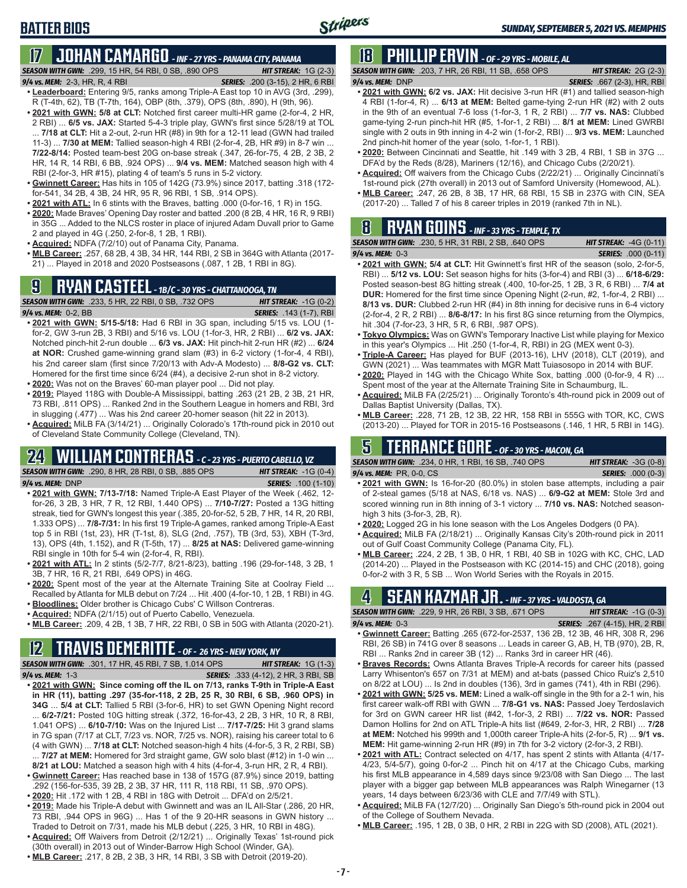# **BATTER BIOS**

#### **17 JOHAN CAMARGO** *- INF - 27 YRS - PANAMA CITY, PANAMA SEASON WITH GWN:*.299, 15 HR, 54 RBI, 0 SB, .890 OPS *HIT STREAK:* 1G (2-3)

- *9/4 vs. MEM:* 2-3, HR, R, 4 RBI *SERIES:* .200 (3-15), 2 HR, 6 RBI **• Leaderboard:** Entering 9/5, ranks among Triple-A East top 10 in AVG (3rd, .299), R (T-4th, 62), TB (T-7th, 164), OBP (8th, .379), OPS (8th, .890), H (9th, 96).
- **• 2021 with GWN: 5/8 at CLT:** Notched first career multi-HR game (2-for-4, 2 HR, 2 RBI) ... **6/5 vs. JAX:** Started 5-4-3 triple play, GWN's first since 5/28/19 at TOL ... **7/18 at CLT:** Hit a 2-out, 2-run HR (#8) in 9th for a 12-11 lead (GWN had trailed 11-3) ... **7/30 at MEM:** Tallied season-high 4 RBI (2-for-4, 2B, HR #9) in 8-7 win ... **7/22-8/14:** Posted team-best 20G on-base streak (.347, 26-for-75, 4 2B, 2 3B, 2 HR, 14 R, 14 RBI, 6 BB, .924 OPS) ... **9/4 vs. MEM:** Matched season high with 4 RBI (2-for-3, HR #15), plating 4 of team's 5 runs in 5-2 victory.
- **• Gwinnett Career:** Has hits in 105 of 142G (73.9%) since 2017, batting .318 (172 for-541, 34 2B, 4 3B, 24 HR, 95 R, 96 RBI, 1 SB, .914 OPS).
- **• 2021 with ATL:** In 6 stints with the Braves, batting .000 (0-for-16, 1 R) in 15G.
- **• 2020:** Made Braves' Opening Day roster and batted .200 (8 2B, 4 HR, 16 R, 9 RBI) in 35G ... Added to the NLCS roster in place of injured Adam Duvall prior to Game 2 and played in 4G (.250, 2-for-8, 1 2B, 1 RBI).
- **• Acquired:** NDFA (7/2/10) out of Panama City, Panama.
- **• MLB Career:** .257, 68 2B, 4 3B, 34 HR, 144 RBI, 2 SB in 364G with Atlanta (2017- 21) ... Played in 2018 and 2020 Postseasons (.087, 1 2B, 1 RBI in 8G).

## **9 RYAN CASTEEL** *- 1B/C - 30 YRS - CHATTANOOGA, TN*



- **• 2021 with GWN: 5/15-5/18:** Had 6 RBI in 3G span, including 5/15 vs. LOU (1 for-2, GW 3-run 2B, 3 RBI) and 5/16 vs. LOU (1-for-3, HR, 2 RBI) ... **6/2 vs. JAX:** Notched pinch-hit 2-run double ... **6/3 vs. JAX:** Hit pinch-hit 2-run HR (#2) ... **6/24 at NOR:** Crushed game-winning grand slam (#3) in 6-2 victory (1-for-4, 4 RBI), his 2nd career slam (first since 7/20/13 with Adv-A Modesto) ... **8/8-G2 vs. CLT:** Homered for the first time since 6/24 (#4), a decisive 2-run shot in 8-2 victory.
- **• 2020:** Was not on the Braves' 60-man player pool ... Did not play.
- **• 2019:** Played 118G with Double-A Mississippi, batting .263 (21 2B, 2 3B, 21 HR, 73 RBI, .811 OPS) ... Ranked 2nd in the Southern League in homers and RBI, 3rd in slugging (.477) ... Was his 2nd career 20-homer season (hit 22 in 2013).
- **• Acquired:** MiLB FA (3/14/21) ... Originally Colorado's 17th-round pick in 2010 out of Cleveland State Community College (Cleveland, TN).

# **24 WILLIAM CONTRERAS** *- C - 23 YRS - PUERTO CABELLO, VZ*

*SEASON WITH GWN:*.290, 8 HR, 28 RBI, 0 SB, .885 OPS *HIT STREAK:* -1G (0-4) *9/4 vs. MEM:* DNP *SERIES:* .100 (1-10)

- 
- **• 2021 with GWN: 7/13-7/18:** Named Triple-A East Player of the Week (.462, 12 for-26, 3 2B, 3 HR, 7 R, 12 RBI, 1.440 OPS) ... **7/10-7/27:** Posted a 13G hitting streak, tied for GWN's longest this year (.385, 20-for-52, 5 2B, 7 HR, 14 R, 20 RBI, 1.333 OPS) ... **7/8-7/31:** In his first 19 Triple-A games, ranked among Triple-A East top 5 in RBI (1st, 23), HR (T-1st, 8), SLG (2nd, .757), TB (3rd, 53), XBH (T-3rd, 13), OPS (4th, 1.152), and R (T-5th, 17) ... **8/25 at NAS:** Delivered game-winning RBI single in 10th for 5-4 win (2-for-4, R, RBI).
- **• 2021 with ATL:** In 2 stints (5/2-7/7, 8/21-8/23), batting .196 (29-for-148, 3 2B, 1 3B, 7 HR, 16 R, 21 RBI, .649 OPS) in 46G.
- **• 2020:** Spent most of the year at the Alternate Training Site at Coolray Field ... Recalled by Atlanta for MLB debut on 7/24 ... Hit .400 (4-for-10, 1 2B, 1 RBI) in 4G.
- **• Bloodlines:** Older brother is Chicago Cubs' C Willson Contreras. **• Acquired:** NDFA (2/1/15) out of Puerto Cabello, Venezuela.
- **• MLB Career:** .209, 4 2B, 1 3B, 7 HR, 22 RBI, 0 SB in 50G with Atlanta (2020-21).

## **12 TRAVIS DEMERITTE** *- OF - 26 YRS - NEW YORK, NY*

*SEASON WITH GWN:*.301, 17 HR, 45 RBI, 7 SB, 1.014 OPS *HIT STREAK:* 1G (1-3)

- *9/4 vs. MEM:*1-3 *SERIES:* .333 (4-12), 2 HR, 3 RBI, SB **• 2021 with GWN: Since coming off the IL on 7/13, ranks T-9th in Triple-A East in HR (11), batting .297 (35-for-118, 2 2B, 25 R, 30 RBI, 6 SB, .960 OPS) in 34G** ... **5/4 at CLT:** Tallied 5 RBI (3-for-6, HR) to set GWN Opening Night record ... **6/2-7/21:** Posted 10G hitting streak (.372, 16-for-43, 2 2B, 3 HR, 10 R, 8 RBI, 1.041 OPS) ... **6/10-7/10:** Was on the Injured List ... **7/17-7/25:** Hit 3 grand slams in 7G span (7/17 at CLT, 7/23 vs. NOR, 7/25 vs. NOR), raising his career total to 6 (4 with GWN) ... **7/18 at CLT:** Notched season-high 4 hits (4-for-5, 3 R, 2 RBI, SB) ... **7/27 at MEM:** Homered for 3rd straight game, GW solo blast (#12) in 1-0 win ...
- **8/21 at LOU:** Matched a season high with 4 hits (4-for-4, 3-run HR, 2 R, 4 RBI). **• Gwinnett Career:** Has reached base in 138 of 157G (87.9%) since 2019, batting .292 (156-for-535, 39 2B, 2 3B, 37 HR, 111 R, 118 RBI, 11 SB, .970 OPS).
- **• 2020:** Hit .172 with 1 2B, 4 RBI in 18G with Detroit ... DFA'd on 2/5/21.
- **• 2019:** Made his Triple-A debut with Gwinnett and was an IL All-Star (.286, 20 HR, 73 RBI, .944 OPS in 96G) ... Has 1 of the 9 20-HR seasons in GWN history Traded to Detroit on 7/31, made his MLB debut (.225, 3 HR, 10 RBI in 48G).
- **• Acquired:** Off Waivers from Detroit (2/12/21) ... Originally Texas' 1st-round pick (30th overall) in 2013 out of Winder-Barrow High School (Winder, GA).
- **• MLB Career:** .217, 8 2B, 2 3B, 3 HR, 14 RBI, 3 SB with Detroit (2019-20).

# **18 PHILLIP ERVIN** *- OF - 29 YRS - MOBILE, AL*

*SEASON WITH GWN:*.203, 7 HR, 26 RBI, 11 SB, .658 OPS *HIT STREAK:* 2G (2-3) *9/4 vs. MEM:*DNP *SERIES:* .667 (2-3), HR, RBI

- **• 2021 with GWN: 6/2 vs. JAX:** Hit decisive 3-run HR (#1) and tallied season-high 4 RBI (1-for-4, R) ... **6/13 at MEM:** Belted game-tying 2-run HR (#2) with 2 outs in the 9th of an eventual 7-6 loss (1-for-3, 1 R, 2 RBI) ... **7/7 vs. NAS:** Clubbed game-tying 2-run pinch-hit HR (#5, 1-for-1, 2 RBI) ... **8/1 at MEM:** Lined GWRBI single with 2 outs in 9th inning in 4-2 win (1-for-2, RBI) ... **9/3 vs. MEM:** Launched 2nd pinch-hit homer of the year (solo, 1-for-1, 1 RBI).
- **• 2020:** Between Cincinnati and Seattle, hit .149 with 3 2B, 4 RBI, 1 SB in 37G ... DFA'd by the Reds (8/28), Mariners (12/16), and Chicago Cubs (2/20/21).
- **• Acquired:** Off waivers from the Chicago Cubs (2/22/21) ... Originally Cincinnati's 1st-round pick (27th overall) in 2013 out of Samford University (Homewood, AL).
- **• MLB Career:** .247, 26 2B, 8 3B, 17 HR, 68 RBI, 15 SB in 237G with CIN, SEA (2017-20) ... Talled 7 of his 8 career triples in 2019 (ranked 7th in NL).

| <b>8 RYAN GOINS</b> - INF - 33 YRS - TEMPLE, TX                                        |                                           |
|----------------------------------------------------------------------------------------|-------------------------------------------|
| <b>SEASON WITH GWN: .230, 5 HR, 31 RBI, 2 SB, .640 OPS</b>                             | <b>HIT STREAK: <math>-4G(0-11)</math></b> |
| $9/4$ vs. MEM: 0-3                                                                     | <b>SERIES: .000 (0-11)</b>                |
| $.9094$ with CIMBL ELL of CLT. Hit Cuinnett's first HD of the second (sole $.2$ for E. |                                           |

- **• 2021 with GWN: 5/4 at CLT:** Hit Gwinnett's first HR of the season (solo, 2-for-5, RBI) ... **5/12 vs. LOU:** Set season highs for hits (3-for-4) and RBI (3) ... **6/18-6/29:** Posted season-best 8G hitting streak (.400, 10-for-25, 1 2B, 3 R, 6 RBI) ... **7/4 at DUR:** Homered for the first time since Opening Night (2-run, #2, 1-for-4, 2 RBI) ... **8/13 vs. DUR:** Clubbed 2-run HR (#4) in 8th inning for decisive runs in 6-4 victory (2-for-4, 2 R, 2 RBI) ... **8/6-8/17:** In his first 8G since returning from the Olympics, hit .304 (7-for-23, 3 HR, 5 R, 6 RBI, .987 OPS).
- **• Tokyo Olympics:** Was on GWN's Temporary Inactive List while playing for Mexico in this year's Olympics ... Hit .250 (1-for-4, R, RBI) in 2G (MEX went 0-3).
- **• Triple-A Career:** Has played for BUF (2013-16), LHV (2018), CLT (2019), and GWN (2021) ... Was teammates with MGR Matt Tuiasosopo in 2014 with BUF.
- **• 2020:** Played in 14G with the Chicago White Sox, batting .000 (0-for-9, 4 R) ... Spent most of the year at the Alternate Training Site in Schaumburg, IL.
- **• Acquired:** MiLB FA (2/25/21) ... Originally Toronto's 4th-round pick in 2009 out of Dallas Baptist University (Dallas, TX).
- **• MLB Career:** .228, 71 2B, 12 3B, 22 HR, 158 RBI in 555G with TOR, KC, CWS (2013-20) ... Played for TOR in 2015-16 Postseasons (.146, 1 HR, 5 RBI in 14G).

## **5 TERRANCE GORE** *- OF - 30 YRS - MACON, GA*

*SEASON WITH GWN:*.234, 0 HR, 1 RBI, 16 SB, .740 OPS *HIT STREAK:* -3G (0-8) *9/4 vs. MEM:*PR, 0-0, CS *SERIES:* .000 (0-3)

- **• 2021 with GWN:** Is 16-for-20 (80.0%) in stolen base attempts, including a pair of 2-steal games (5/18 at NAS, 6/18 vs. NAS) ... **6/9-G2 at MEM:** Stole 3rd and scored winning run in 8th inning of 3-1 victory ... **7/10 vs. NAS:** Notched seasonhigh 3 hits (3-for-3, 2B, R).
- **• 2020:** Logged 2G in his lone season with the Los Angeles Dodgers (0 PA).
- **• Acquired:** MiLB FA (2/18/21) ... Originally Kansas City's 20th-round pick in 2011 out of Gulf Coast Community College (Panama City, FL).
- **• MLB Career:** .224, 2 2B, 1 3B, 0 HR, 1 RBI, 40 SB in 102G with KC, CHC, LAD (2014-20) ... Played in the Postseason with KC (2014-15) and CHC (2018), going 0-for-2 with 3 R, 5 SB ... Won World Series with the Royals in 2015.

# **4 SEAN KAZMAR JR.** *- INF - 37 YRS - VALDOSTA, GA*

| <b>SEASON WITH GWN: .229. 9 HR. 26 RBI. 3 SB. .671 OPS</b> |                                                                                    |  | <b>HIT STREAK:</b> $-1G(0-3)$         |  |
|------------------------------------------------------------|------------------------------------------------------------------------------------|--|---------------------------------------|--|
| $9/4$ vs. MEM: 0-3                                         |                                                                                    |  | <b>SERIES:</b> .267 (4-15), HR, 2 RBI |  |
| - - - -                                                    | $0.05$ (0.30 $\ell$ ) $0.50$ , $0.00$ , $0.00$ , $0.00$ , $0.00$ , $0.00$ , $0.00$ |  |                                       |  |

- **• Gwinnett Career:** Batting .265 (672-for-2537, 136 2B, 12 3B, 46 HR, 308 R, 296 RBI, 26 SB) in 741G over 8 seasons ... Leads in career G, AB, H, TB (970), 2B, R, RBI ... Ranks 2nd in career 3B (12) ... Ranks 3rd in career HR (46).
- **• Braves Records:** Owns Atlanta Braves Triple-A records for career hits (passed Larry Whisenton's 657 on 7/31 at MEM) and at-bats (passed Chico Ruiz's 2,510 on 8/22 at LOU) ... Is 2nd in doubles (136), 3rd in games (741), 4th in RBI (296).
- **• 2021 with GWN: 5/25 vs. MEM:** Lined a walk-off single in the 9th for a 2-1 win, his first career walk-off RBI with GWN ... **7/8-G1 vs. NAS:** Passed Joey Terdoslavich for 3rd on GWN career HR list (#42, 1-for-3, 2 RBI) ... **7/22 vs. NOR:** Passed Damon Hollins for 2nd on ATL Triple-A hits list (#649, 2-for-3, HR, 2 RBI) ... **7/28 at MEM:** Notched his 999th and 1,000th career Triple-A hits (2-for-5, R) ... **9/1 vs. MEM:** Hit game-winning 2-run HR (#9) in 7th for 3-2 victory (2-for-3, 2 RBI).
- **• 2021 with ATL:** Contract selected on 4/17, has spent 2 stints with Atlanta (4/17- 4/23, 5/4-5/7), going 0-for-2 ... Pinch hit on 4/17 at the Chicago Cubs, marking his first MLB appearance in 4,589 days since 9/23/08 with San Diego ... The last player with a bigger gap between MLB appearances was Ralph Winegarner (13 years, 14 days between 6/23/36 with CLE and 7/7/49 with STL).
- **• Acquired:** MiLB FA (12/7/20) ... Originally San Diego's 5th-round pick in 2004 out of the College of Southern Nevada.
- **• MLB Career:** .195, 1 2B, 0 3B, 0 HR, 2 RBI in 22G with SD (2008), ATL (2021).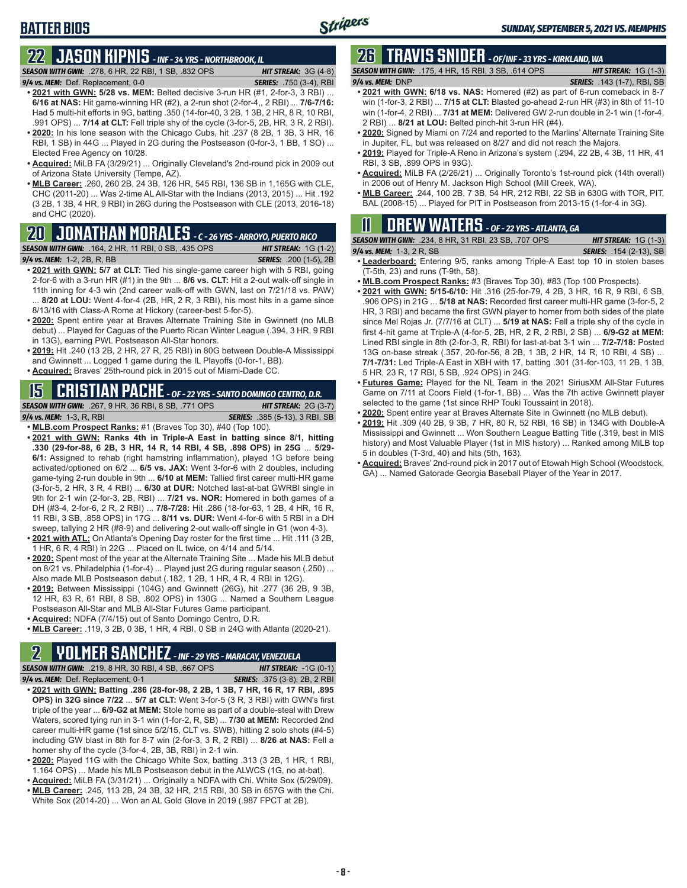# **BATTER BIOS**

#### **22 JASON KIPNIS** *- INF - 34 YRS - NORTHBROOK, IL SEASON WITH GWN:*.278, 6 HR, 22 RBI, 1 SB, .832 OPS *HIT STREAK:* 3G (4-8)

- *9/4 vs. MEM:*Def. Replacement, 0-0 *SERIES:* .750 (3-4), RBI **• 2021 with GWN: 5/28 vs. MEM:** Belted decisive 3-run HR (#1, 2-for-3, 3 RBI) ... **6/16 at NAS:** Hit game-winning HR (#2), a 2-run shot (2-for-4,, 2 RBI) ... **7/6-7/16:** Had 5 multi-hit efforts in 9G, batting .350 (14-for-40, 3 2B, 1 3B, 2 HR, 8 R, 10 RBI, .991 OPS) ... **7/14 at CLT:** Fell triple shy of the cycle (3-for-5, 2B, HR, 3 R, 2 RBI).
- **• 2020:** In his lone season with the Chicago Cubs, hit .237 (8 2B, 1 3B, 3 HR, 16 RBI, 1 SB) in 44G ... Played in 2G during the Postseason (0-for-3, 1 BB, 1 SO) ... Elected Free Agency on 10/28.
- **• Acquired:** MiLB FA (3/29/21) ... Originally Cleveland's 2nd-round pick in 2009 out of Arizona State University (Tempe, AZ).
- **• MLB Career:** .260, 260 2B, 24 3B, 126 HR, 545 RBI, 136 SB in 1,165G with CLE, CHC (2011-20) ... Was 2-time AL All-Star with the Indians (2013, 2015) ... Hit .192 (3 2B, 1 3B, 4 HR, 9 RBI) in 26G during the Postseason with CLE (2013, 2016-18) and CHC (2020).

# **20 JONATHAN MORALES** *- C - 26 YRS - ARROYO, PUERTO RICO*

*SEASON WITH GWN:*.164, 2 HR, 11 RBI, 0 SB, .435 OPS *HIT STREAK:* 1G (1-2) *9/4 vs. MEM:*1-2, 2B, R, BB *SERIES:* .200 (1-5), 2B

- **• 2021 with GWN: 5/7 at CLT:** Tied his single-game career high with 5 RBI, going 2-for-6 with a 3-run HR (#1) in the 9th ... **8/6 vs. CLT:** Hit a 2-out walk-off single in 11th inning for 4-3 win (2nd career walk-off with GWN, last on 7/21/18 vs. PAW) 8/20 at LOU: Went 4-for-4 (2B, HR, 2 R, 3 RBI), his most hits in a game since 8/13/16 with Class-A Rome at Hickory (career-best 5-for-5).
- **• 2020:** Spent entire year at Braves Alternate Training Site in Gwinnett (no MLB debut) ... Played for Caguas of the Puerto Rican Winter League (.394, 3 HR, 9 RBI in 13G), earning PWL Postseason All-Star honors.
- **• 2019:** Hit .240 (13 2B, 2 HR, 27 R, 25 RBI) in 80G between Double-A Mississippi and Gwinnett ... Logged 1 game during the IL Playoffs (0-for-1, BB).
- **• Acquired:** Braves' 25th-round pick in 2015 out of Miami-Dade CC.

#### **15 CRISTIAN PACHE** *- OF - 22 YRS - SANTO DOMINGO CENTRO, D.R.*

*SEASON WITH GWN:*.267, 9 HR, 36 RBI, 8 SB, .771 OPS *HIT STREAK:* 2G (3-7) *9/4 vs. MEM:* 1-3, R, RBI *SERIES:* .385 (5-13), 3 RBI, SB

- **• MLB.com Prospect Ranks:** #1 (Braves Top 30), #40 (Top 100). **• 2021 with GWN: Ranks 4th in Triple-A East in batting since 8/1, hitting .330 (29-for-88, 6 2B, 3 HR, 14 R, 14 RBI, 4 SB, .898 OPS) in 25G** ... **5/29- 6/1:** Assigned to rehab (right hamstring inflammation), played 1G before being activated/optioned on 6/2 ... **6/5 vs. JAX:** Went 3-for-6 with 2 doubles, including game-tying 2-run double in 9th ... **6/10 at MEM:** Tallied first career multi-HR game
- (3-for-5, 2 HR, 3 R, 4 RBI) ... **6/30 at DUR:** Notched last-at-bat GWRBI single in 9th for 2-1 win (2-for-3, 2B, RBI) ... **7/21 vs. NOR:** Homered in both games of a DH (#3-4, 2-for-6, 2 R, 2 RBI) ... **7/8-7/28:** Hit .286 (18-for-63, 1 2B, 4 HR, 16 R, 11 RBI, 3 SB, .858 OPS) in 17G ... **8/11 vs. DUR:** Went 4-for-6 with 5 RBI in a DH sweep, tallying 2 HR (#8-9) and delivering 2-out walk-off single in G1 (won 4-3).
- **• 2021 with ATL:** On Atlanta's Opening Day roster for the first time ... Hit .111 (3 2B, 1 HR, 6 R, 4 RBI) in 22G ... Placed on IL twice, on 4/14 and 5/14.
- **• 2020:** Spent most of the year at the Alternate Training Site ... Made his MLB debut on 8/21 vs. Philadelphia (1-for-4) ... Played just 2G during regular season (.250) ... Also made MLB Postseason debut (.182, 1 2B, 1 HR, 4 R, 4 RBI in 12G).
- **• 2019:** Between Mississippi (104G) and Gwinnett (26G), hit .277 (36 2B, 9 3B, 12 HR, 63 R, 61 RBI, 8 SB, .802 OPS) in 130G ... Named a Southern League Postseason All-Star and MLB All-Star Futures Game participant.
- **• Acquired:** NDFA (7/4/15) out of Santo Domingo Centro, D.R.
- **• MLB Career:** .119, 3 2B, 0 3B, 1 HR, 4 RBI, 0 SB in 24G with Atlanta (2020-21).

# **2 YOLMER SANCHEZ** *- INF - 29 YRS - MARACAY, VENEZUELA*

*SEASON WITH GWN:*.219, 8 HR, 30 RBI, 4 SB, .667 OPS *HIT STREAK:* -1G (0-1)

- *9/4 vs. MEM:*Def. Replacement, 0-1 *SERIES:* .375 (3-8), 2B, 2 RBI **• 2021 with GWN: Batting .286 (28-for-98, 2 2B, 1 3B, 7 HR, 16 R, 17 RBI, .895 OPS) in 32G since 7/22** ... **5/7 at CLT:** Went 3-for-5 (3 R, 3 RBI) with GWN's first triple of the year ... **6/9-G2 at MEM:** Stole home as part of a double-steal with Drew Waters, scored tying run in 3-1 win (1-for-2, R, SB) ... **7/30 at MEM:** Recorded 2nd career multi-HR game (1st since 5/2/15, CLT vs. SWB), hitting 2 solo shots (#4-5) including GW blast in 8th for 8-7 win (2-for-3, 3 R, 2 RBI) ... **8/26 at NAS:** Fell a homer shy of the cycle (3-for-4, 2B, 3B, RBI) in 2-1 win.
- **• 2020:** Played 11G with the Chicago White Sox, batting .313 (3 2B, 1 HR, 1 RBI, 1.164 OPS) ... Made his MLB Postseason debut in the ALWCS (1G, no at-bat).
- **• Acquired:** MiLB FA (3/31/21) ... Originally a NDFA with Chi. White Sox (5/29/09).
- **• MLB Career:** .245, 113 2B, 24 3B, 32 HR, 215 RBI, 30 SB in 657G with the Chi. White Sox (2014-20) ... Won an AL Gold Glove in 2019 (.987 FPCT at 2B).

## **26 TRAVIS SNIDER** *- OF/INF - 33 YRS - KIRKLAND, WA*

*SEASON WITH GWN:*.175, 4 HR, 15 RBI, 3 SB, .614 OPS *HIT STREAK:* 1G (1-3) *9/4 vs. MEM:* DNP *SERIES:* .143 (1-7), RBI, SB

- **• 2021 with GWN: 6/18 vs. NAS:** Homered (#2) as part of 6-run comeback in 8-7 win (1-for-3, 2 RBI) ... **7/15 at CLT:** Blasted go-ahead 2-run HR (#3) in 8th of 11-10 win (1-for-4, 2 RBI) ... **7/31 at MEM:** Delivered GW 2-run double in 2-1 win (1-for-4, 2 RBI) ... **8/21 at LOU:** Belted pinch-hit 3-run HR (#4).
- **• 2020:** Signed by Miami on 7/24 and reported to the Marlins' Alternate Training Site in Jupiter, FL, but was released on 8/27 and did not reach the Majors.
- **• 2019:** Played for Triple-A Reno in Arizona's system (.294, 22 2B, 4 3B, 11 HR, 41 RBI, 3 SB, .899 OPS in 93G).
- **• Acquired:** MiLB FA (2/26/21) ... Originally Toronto's 1st-round pick (14th overall) in 2006 out of Henry M. Jackson High School (Mill Creek, WA).
- **• MLB Career:** .244, 100 2B, 7 3B, 54 HR, 212 RBI, 22 SB in 630G with TOR, PIT, BAL (2008-15) ... Played for PIT in Postseason from 2013-15 (1-for-4 in 3G).

# **11 Drew WATERS** *- OF - 22 YRS - ATLANTA, GA*

| <b>SEASON WITH GWN:</b> .234, 8 HR, 31 RBI, 23 SB, .707 OPS | <b>HIT STREAK:</b> $1G(1-3)$   |
|-------------------------------------------------------------|--------------------------------|
| 9/4 vs. MEM: $1-3$ , $2R$ , SB                              | <b>SERIES:</b> .154 (2-13), SB |

- **• Leaderboard:** Entering 9/5, ranks among Triple-A East top 10 in stolen bases (T-5th, 23) and runs (T-9th, 58).
- **• MLB.com Prospect Ranks:** #3 (Braves Top 30), #83 (Top 100 Prospects).
- **• 2021 with GWN: 5/15-6/10:** Hit .316 (25-for-79, 4 2B, 3 HR, 16 R, 9 RBI, 6 SB, .906 OPS) in 21G ... **5/18 at NAS:** Recorded first career multi-HR game (3-for-5, 2 HR, 3 RBI) and became the first GWN player to homer from both sides of the plate since Mel Rojas Jr. (7/7/16 at CLT) ... **5/19 at NAS:** Fell a triple shy of the cycle in first 4-hit game at Triple-A (4-for-5, 2B, HR, 2 R, 2 RBI, 2 SB) ... **6/9-G2 at MEM:** Lined RBI single in 8th (2-for-3, R, RBI) for last-at-bat 3-1 win ... **7/2-7/18:** Posted 13G on-base streak (.357, 20-for-56, 8 2B, 1 3B, 2 HR, 14 R, 10 RBI, 4 SB) ... **7/1-7/31:** Led Triple-A East in XBH with 17, batting .301 (31-for-103, 11 2B, 1 3B, 5 HR, 23 R, 17 RBI, 5 SB, .924 OPS) in 24G.
- **• Futures Game:** Played for the NL Team in the 2021 SiriusXM All-Star Futures Game on 7/11 at Coors Field (1-for-1, BB) ... Was the 7th active Gwinnett player selected to the game (1st since RHP Touki Toussaint in 2018).
- **• 2020:** Spent entire year at Braves Alternate Site in Gwinnett (no MLB debut).
- **• 2019:** Hit .309 (40 2B, 9 3B, 7 HR, 80 R, 52 RBI, 16 SB) in 134G with Double-A Mississippi and Gwinnett ... Won Southern League Batting Title (.319, best in MIS history) and Most Valuable Player (1st in MIS history) ... Ranked among MiLB top 5 in doubles (T-3rd, 40) and hits (5th, 163).
- **• Acquired:** Braves' 2nd-round pick in 2017 out of Etowah High School (Woodstock, GA) ... Named Gatorade Georgia Baseball Player of the Year in 2017.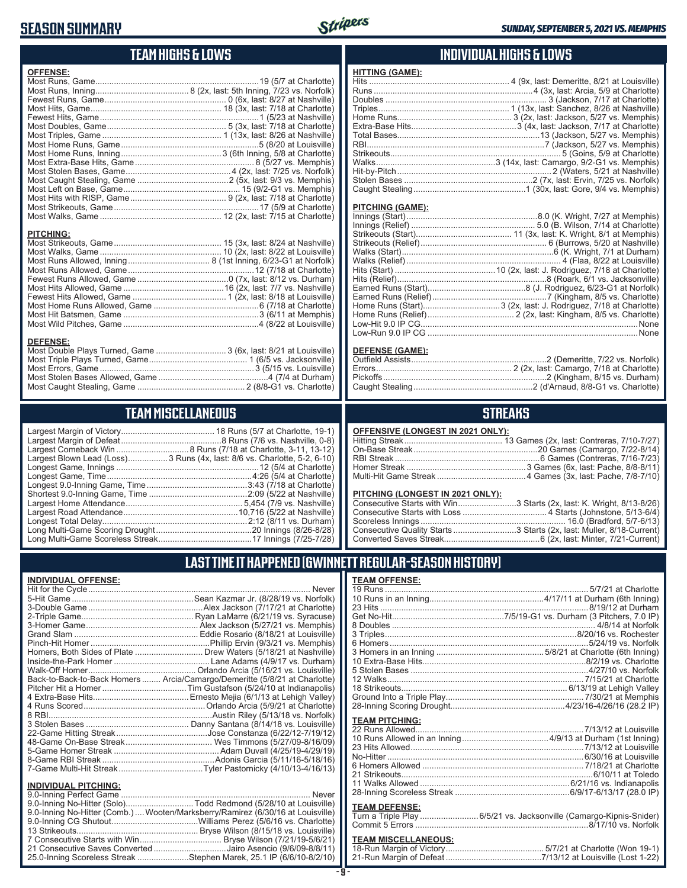## **SEASON SUMMARY**



## **TEAM HIGHS & LOWS**

| <b>OFFENSE:</b>                                                                     |                                    |
|-------------------------------------------------------------------------------------|------------------------------------|
|                                                                                     |                                    |
|                                                                                     |                                    |
|                                                                                     |                                    |
|                                                                                     |                                    |
|                                                                                     |                                    |
|                                                                                     |                                    |
|                                                                                     |                                    |
|                                                                                     |                                    |
|                                                                                     |                                    |
|                                                                                     |                                    |
|                                                                                     |                                    |
|                                                                                     |                                    |
|                                                                                     |                                    |
|                                                                                     |                                    |
|                                                                                     |                                    |
|                                                                                     |                                    |
| <b>PITCHING:</b>                                                                    |                                    |
| <b>DEFENSE:</b><br>Most Double Plays Turned, Game  3 (6x, last: 8/21 at Louisville) | $M$ est Cteler Desse Allewed Cense |

| Most Double Plays Turned, Game  3 (6x, last: 8/21 at Louisville) |  |
|------------------------------------------------------------------|--|
|                                                                  |  |
|                                                                  |  |
|                                                                  |  |
|                                                                  |  |
|                                                                  |  |

# **TEAM MISCELLANEOUS**

| Largest Blown Lead (Loss)3 Runs (4x, last: 8/6 vs. Charlotte, 5-2, 6-10) |
|--------------------------------------------------------------------------|
|                                                                          |
| Longest Game, Time……………………………………………………4:26 (5/4 at Charlotte)            |
|                                                                          |
|                                                                          |
|                                                                          |
|                                                                          |
|                                                                          |
|                                                                          |
|                                                                          |
|                                                                          |

## **INDIVIDUAL HIGHS & LOWS**

| HIIING (GAME): |  |
|----------------|--|
|                |  |
|                |  |
|                |  |
|                |  |
|                |  |
|                |  |
|                |  |
|                |  |
|                |  |
|                |  |
|                |  |
|                |  |
|                |  |
|                |  |

#### **PITCHING (GAME):**

**HITTING (GAME):**

#### **DEFENSE (GAME):**

## **STREAKS**

#### **OFFENSIVE (LONGEST IN 2021 ONLY):**

#### **PITCHING (LONGEST IN 2021 ONLY):**

| Consecutive Starts with Win3 Starts (2x, last: K. Wright, 8/13-8/26) |
|----------------------------------------------------------------------|
|                                                                      |
|                                                                      |
| Consecutive Quality Starts 3 Starts (2x, last: Muller, 8/18-Current) |
|                                                                      |

## **LAST TIME IT HAPPENED (GWINNETT REGULAR-SEASON HISTORY)**

#### **INDIVIDUAL OFFENSE:**

|                             | Homers, Both Sides of Plate  Drew Waters (5/18/21 at Nashville)            |
|-----------------------------|----------------------------------------------------------------------------|
|                             |                                                                            |
|                             |                                                                            |
|                             | Back-to-Back-to-Back Homers  Arcia/Camargo/Demeritte (5/8/21 at Charlotte) |
|                             |                                                                            |
|                             |                                                                            |
|                             |                                                                            |
|                             |                                                                            |
|                             |                                                                            |
|                             |                                                                            |
|                             |                                                                            |
|                             |                                                                            |
|                             |                                                                            |
|                             |                                                                            |
| <b>INDIVIDUAL PITCHING:</b> |                                                                            |
| 9.0-Inning Perfect Game     | Never                                                                      |

| 9.0-Inning No-Hitter (Solo)Todd Redmond (5/28/10 at Louisville)                 |  |
|---------------------------------------------------------------------------------|--|
| 9.0-Inning No-Hitter (Comb.)  Wooten/Marksberry/Ramirez (6/30/16 at Louisville) |  |
|                                                                                 |  |
|                                                                                 |  |
|                                                                                 |  |
| 21 Consecutive Saves Converted Jairo Asencio (9/6/09-8/8/11)                    |  |
| 25.0-Inning Scoreless Streak Stephen Marek, 25.1 IP (6/6/10-8/2/10)             |  |
|                                                                                 |  |

#### **TEAM OFFENSE:**

| <b>TEAM PITCHING:</b> |                                                                    |
|-----------------------|--------------------------------------------------------------------|
|                       |                                                                    |
|                       |                                                                    |
|                       |                                                                    |
|                       |                                                                    |
|                       |                                                                    |
|                       |                                                                    |
|                       |                                                                    |
|                       |                                                                    |
| <b>TEAM DEFENSE:</b>  |                                                                    |
|                       | Turn a Triple Play 6/5/21 vs. Jacksonville (Camargo-Kipnis-Snider) |
|                       |                                                                    |

## Commit 5 Errors ..........................................................................8/17/10 vs. Norfolk

## **TEAM MISCELLANEOUS:**<br>18-Run Margin of Victory....